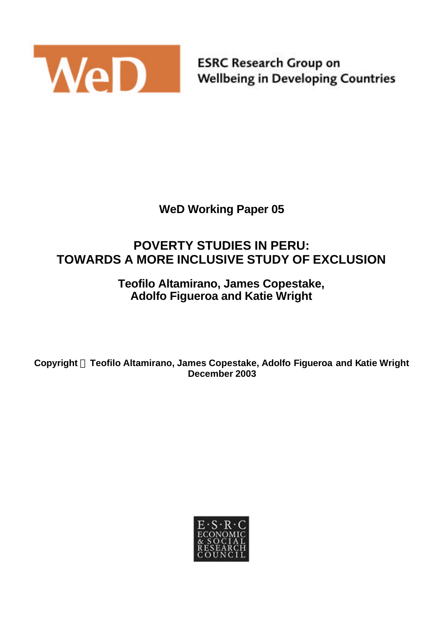

**ESRC Research Group on Wellbeing in Developing Countries** 

# **WeD Working Paper 05**

# **POVERTY STUDIES IN PERU: TOWARDS A MORE INCLUSIVE STUDY OF EXCLUSION**

### **Teofilo Altamirano, James Copestake, Adolfo Figueroa and Katie Wright**

**Copyright Ó Teofilo Altamirano, James Copestake, Adolfo Figueroa and Katie Wright December 2003**

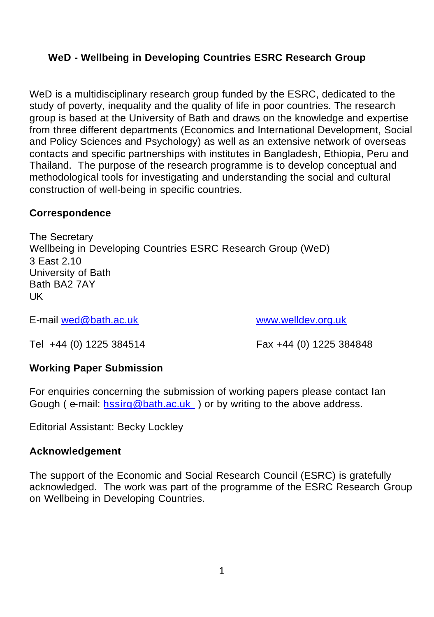### **WeD - Wellbeing in Developing Countries ESRC Research Group**

WeD is a multidisciplinary research group funded by the ESRC, dedicated to the study of poverty, inequality and the quality of life in poor countries. The research group is based at the University of Bath and draws on the knowledge and expertise from three different departments (Economics and International Development, Social and Policy Sciences and Psychology) as well as an extensive network of overseas contacts and specific partnerships with institutes in Bangladesh, Ethiopia, Peru and Thailand. The purpose of the research programme is to develop conceptual and methodological tools for investigating and understanding the social and cultural construction of well-being in specific countries.

#### **Correspondence**

The Secretary Wellbeing in Developing Countries ESRC Research Group (WeD) 3 East 2.10 University of Bath Bath BA2 7AY UK

E-mail wed@bath.ac.uk www.welldev.org.uk

Tel +44 (0) 1225 384514 Fax +44 (0) 1225 384848

#### **Working Paper Submission**

For enquiries concerning the submission of working papers please contact Ian Gough ( e-mail: hssirg@bath.ac.uk ) or by writing to the above address.

Editorial Assistant: Becky Lockley

#### **Acknowledgement**

The support of the Economic and Social Research Council (ESRC) is gratefully acknowledged. The work was part of the programme of the ESRC Research Group on Wellbeing in Developing Countries.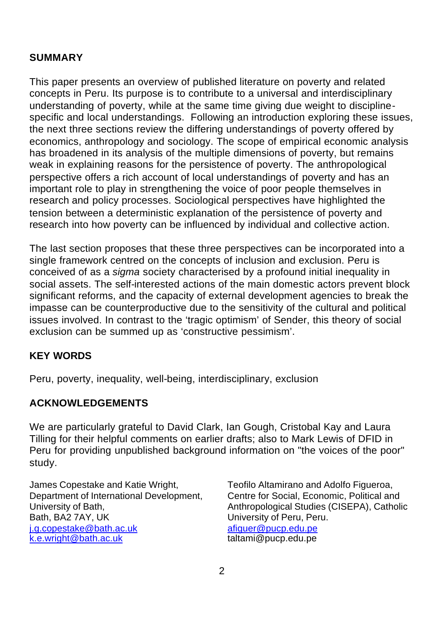#### **SUMMARY**

This paper presents an overview of published literature on poverty and related concepts in Peru. Its purpose is to contribute to a universal and interdisciplinary understanding of poverty, while at the same time giving due weight to disciplinespecific and local understandings. Following an introduction exploring these issues, the next three sections review the differing understandings of poverty offered by economics, anthropology and sociology. The scope of empirical economic analysis has broadened in its analysis of the multiple dimensions of poverty, but remains weak in explaining reasons for the persistence of poverty. The anthropological perspective offers a rich account of local understandings of poverty and has an important role to play in strengthening the voice of poor people themselves in research and policy processes. Sociological perspectives have highlighted the tension between a deterministic explanation of the persistence of poverty and research into how poverty can be influenced by individual and collective action.

The last section proposes that these three perspectives can be incorporated into a single framework centred on the concepts of inclusion and exclusion. Peru is conceived of as a *sigma* society characterised by a profound initial inequality in social assets. The self-interested actions of the main domestic actors prevent block significant reforms, and the capacity of external development agencies to break the impasse can be counterproductive due to the sensitivity of the cultural and political issues involved. In contrast to the 'tragic optimism' of Sender, this theory of social exclusion can be summed up as 'constructive pessimism'.

#### **KEY WORDS**

Peru, poverty, inequality, well-being, interdisciplinary, exclusion

#### **ACKNOWLEDGEMENTS**

We are particularly grateful to David Clark, Ian Gough, Cristobal Kay and Laura Tilling for their helpful comments on earlier drafts; also to Mark Lewis of DFID in Peru for providing unpublished background information on "the voices of the poor" study.

James Copestake and Katie Wright, Department of International Development, University of Bath, Bath, BA2 7AY, UK j.g.copestake@bath.ac.uk k.e.wright@bath.ac.uk

Teofilo Altamirano and Adolfo Figueroa, Centre for Social, Economic, Political and Anthropological Studies (CISEPA), Catholic University of Peru, Peru. afiguer@pucp.edu.pe taltami@pucp.edu.pe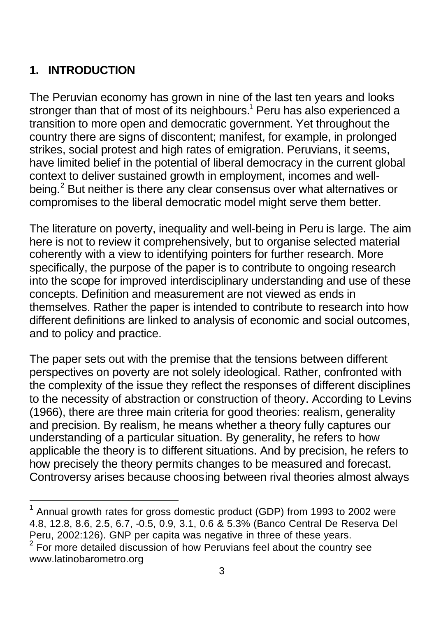# **1. INTRODUCTION**

l

The Peruvian economy has grown in nine of the last ten years and looks stronger than that of most of its neighbours.<sup>1</sup> Peru has also experienced a transition to more open and democratic government. Yet throughout the country there are signs of discontent; manifest, for example, in prolonged strikes, social protest and high rates of emigration. Peruvians, it seems, have limited belief in the potential of liberal democracy in the current global context to deliver sustained growth in employment, incomes and wellbeing.<sup>2</sup> But neither is there any clear consensus over what alternatives or compromises to the liberal democratic model might serve them better.

The literature on poverty, inequality and well-being in Peru is large. The aim here is not to review it comprehensively, but to organise selected material coherently with a view to identifying pointers for further research. More specifically, the purpose of the paper is to contribute to ongoing research into the scope for improved interdisciplinary understanding and use of these concepts. Definition and measurement are not viewed as ends in themselves. Rather the paper is intended to contribute to research into how different definitions are linked to analysis of economic and social outcomes, and to policy and practice.

The paper sets out with the premise that the tensions between different perspectives on poverty are not solely ideological. Rather, confronted with the complexity of the issue they reflect the responses of different disciplines to the necessity of abstraction or construction of theory. According to Levins (1966), there are three main criteria for good theories: realism, generality and precision. By realism, he means whether a theory fully captures our understanding of a particular situation. By generality, he refers to how applicable the theory is to different situations. And by precision, he refers to how precisely the theory permits changes to be measured and forecast. Controversy arises because choosing between rival theories almost always

 $1$  Annual growth rates for gross domestic product (GDP) from 1993 to 2002 were 4.8, 12.8, 8.6, 2.5, 6.7, -0.5, 0.9, 3.1, 0.6 & 5.3% (Banco Central De Reserva Del Peru, 2002:126). GNP per capita was negative in three of these years.

 $2$  For more detailed discussion of how Peruvians feel about the country see www.latinobarometro.org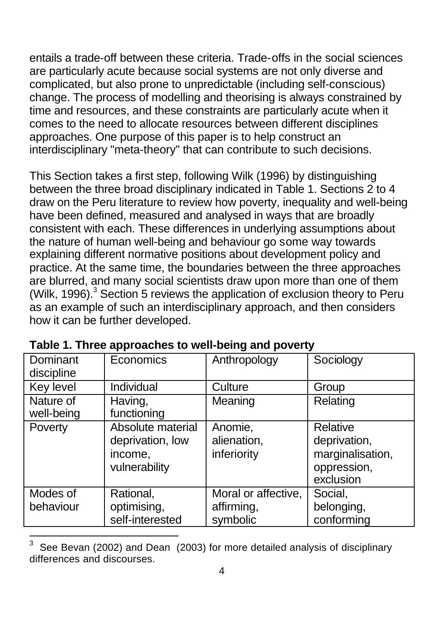entails a trade-off between these criteria. Trade-offs in the social sciences are particularly acute because social systems are not only diverse and complicated, but also prone to unpredictable (including self-conscious) change. The process of modelling and theorising is always constrained by time and resources, and these constraints are particularly acute when it comes to the need to allocate resources between different disciplines approaches. One purpose of this paper is to help construct an interdisciplinary "meta-theory" that can contribute to such decisions.

This Section takes a first step, following Wilk (1996) by distinguishing between the three broad disciplinary indicated in Table 1. Sections 2 to 4 draw on the Peru literature to review how poverty, inequality and well-being have been defined, measured and analysed in ways that are broadly consistent with each. These differences in underlying assumptions about the nature of human well-being and behaviour go some way towards explaining different normative positions about development policy and practice. At the same time, the boundaries between the three approaches are blurred, and many social scientists draw upon more than one of them (Wilk, 1996). $3$  Section 5 reviews the application of exclusion theory to Peru as an example of such an interdisciplinary approach, and then considers how it can be further developed.

| Dominant<br>discipline  | Economics                                                         | Anthropology                                  | Sociology                                                                |
|-------------------------|-------------------------------------------------------------------|-----------------------------------------------|--------------------------------------------------------------------------|
| Key level               | Individual                                                        | Culture                                       | Group                                                                    |
| Nature of<br>well-being | Having,<br>functioning                                            | Meaning                                       | Relating                                                                 |
| Poverty                 | Absolute material<br>deprivation, low<br>income,<br>vulnerability | Anomie,<br>alienation,<br>inferiority         | Relative<br>deprivation,<br>marginalisation,<br>oppression,<br>exclusion |
| Modes of<br>behaviour   | Rational,<br>optimising,<br>self-interested                       | Moral or affective,<br>affirming,<br>symbolic | Social,<br>belonging,<br>conforming                                      |

| Table 1. Three approaches to well-being and poverty |  |
|-----------------------------------------------------|--|
|-----------------------------------------------------|--|

l

<sup>3</sup> See Bevan (2002) and Dean (2003) for more detailed analysis of disciplinary differences and discourses.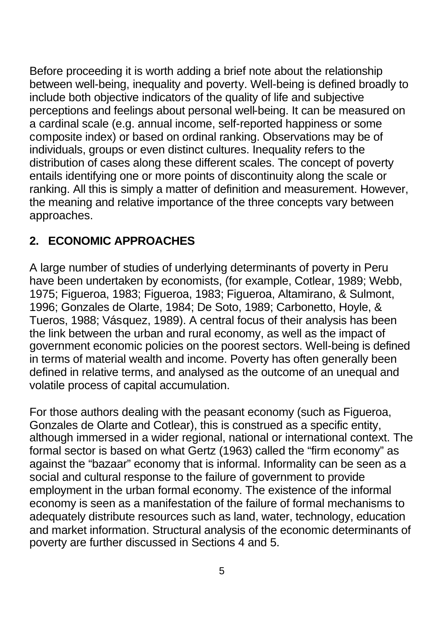Before proceeding it is worth adding a brief note about the relationship between well-being, inequality and poverty. Well-being is defined broadly to include both objective indicators of the quality of life and subjective perceptions and feelings about personal well-being. It can be measured on a cardinal scale (e.g. annual income, self-reported happiness or some composite index) or based on ordinal ranking. Observations may be of individuals, groups or even distinct cultures. Inequality refers to the distribution of cases along these different scales. The concept of poverty entails identifying one or more points of discontinuity along the scale or ranking. All this is simply a matter of definition and measurement. However, the meaning and relative importance of the three concepts vary between approaches.

# **2. ECONOMIC APPROACHES**

A large number of studies of underlying determinants of poverty in Peru have been undertaken by economists, (for example, Cotlear, 1989; Webb, 1975; Figueroa, 1983; Figueroa, 1983; Figueroa, Altamirano, & Sulmont, 1996; Gonzales de Olarte, 1984; De Soto, 1989; Carbonetto, Hoyle, & Tueros, 1988; Vásquez, 1989). A central focus of their analysis has been the link between the urban and rural economy, as well as the impact of government economic policies on the poorest sectors. Well-being is defined in terms of material wealth and income. Poverty has often generally been defined in relative terms, and analysed as the outcome of an unequal and volatile process of capital accumulation.

For those authors dealing with the peasant economy (such as Figueroa, Gonzales de Olarte and Cotlear), this is construed as a specific entity, although immersed in a wider regional, national or international context. The formal sector is based on what Gertz (1963) called the "firm economy" as against the "bazaar" economy that is informal. Informality can be seen as a social and cultural response to the failure of government to provide employment in the urban formal economy. The existence of the informal economy is seen as a manifestation of the failure of formal mechanisms to adequately distribute resources such as land, water, technology, education and market information. Structural analysis of the economic determinants of poverty are further discussed in Sections 4 and 5.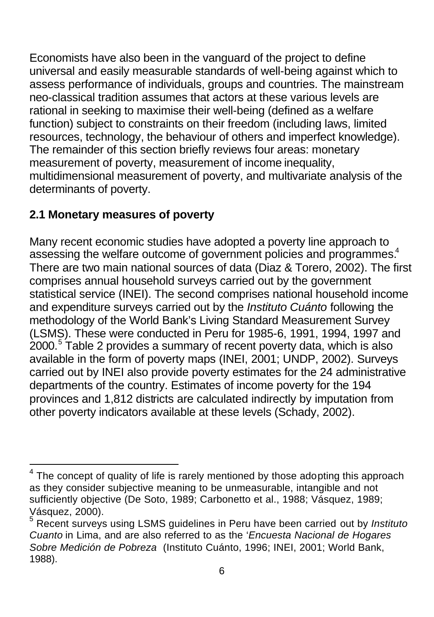Economists have also been in the vanguard of the project to define universal and easily measurable standards of well-being against which to assess performance of individuals, groups and countries. The mainstream neo-classical tradition assumes that actors at these various levels are rational in seeking to maximise their well-being (defined as a welfare function) subject to constraints on their freedom (including laws, limited resources, technology, the behaviour of others and imperfect knowledge). The remainder of this section briefly reviews four areas: monetary measurement of poverty, measurement of income inequality, multidimensional measurement of poverty, and multivariate analysis of the determinants of poverty.

## **2.1 Monetary measures of poverty**

Many recent economic studies have adopted a poverty line approach to assessing the welfare outcome of government policies and programmes.<sup>4</sup> There are two main national sources of data (Diaz & Torero, 2002). The first comprises annual household surveys carried out by the government statistical service (INEI). The second comprises national household income and expenditure surveys carried out by the *Instituto Cuánto* following the methodology of the World Bank's Living Standard Measurement Survey (LSMS). These were conducted in Peru for 1985-6, 1991, 1994, 1997 and  $2000$ .<sup>5</sup> Table 2 provides a summary of recent poverty data, which is also available in the form of poverty maps (INEI, 2001; UNDP, 2002). Surveys carried out by INEI also provide poverty estimates for the 24 administrative departments of the country. Estimates of income poverty for the 194 provinces and 1,812 districts are calculated indirectly by imputation from other poverty indicators available at these levels (Schady, 2002).

l 4 The concept of quality of life is rarely mentioned by those adopting this approach as they consider subjective meaning to be unmeasurable, intangible and not sufficiently objective (De Soto, 1989; Carbonetto et al., 1988; Vásquez, 1989; Vásquez, 2000).

<sup>5</sup> Recent surveys using LSMS guidelines in Peru have been carried out by *Instituto Cuanto* in Lima, and are also referred to as the '*Encuesta Nacional de Hogares Sobre Medición de Pobreza* (Instituto Cuánto, 1996; INEI, 2001; World Bank, 1988).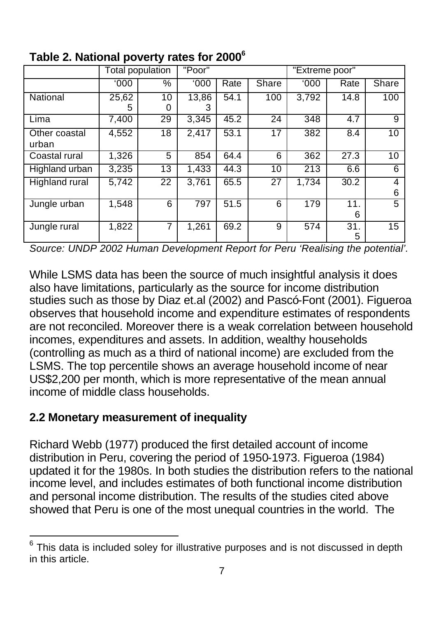|                        |            | Total population | "Poor"     |      |                 | "Extreme poor" |                  |        |
|------------------------|------------|------------------|------------|------|-----------------|----------------|------------------|--------|
|                        | 000'       | %                | 000'       | Rate | <b>Share</b>    | '000           | Rate             | Share  |
| National               | 25,62<br>5 | 10<br>Ω          | 13,86<br>з | 54.1 | 100             | 3,792          | 14.8             | 100    |
| Lima                   | 7,400      | 29               | 3,345      | 45.2 | $\overline{2}4$ | 348            | $\overline{4.7}$ | 9      |
| Other coastal<br>urban | 4,552      | 18               | 2.417      | 53.1 | 17              | 382            | 8.4              | 10     |
| Coastal rural          | 1,326      | 5                | 854        | 64.4 | 6               | 362            | 27.3             | 10     |
| Highland urban         | 3,235      | 13               | 1.433      | 44.3 | 10              | 213            | 6.6              | 6      |
| Highland rural         | 5.742      | 22               | 3.761      | 65.5 | 27              | 1.734          | 30.2             | 4<br>6 |
| Jungle urban           | 1,548      | 6                | 797        | 51.5 | 6               | 179            | 11.<br>6         | 5      |
| Jungle rural           | 1,822      | 7                | 1,261      | 69.2 | 9               | 574            | 31.<br>5         | 15     |

# **Table 2. National poverty rates for 2000<sup>6</sup>**

*Source: UNDP 2002 Human Development Report for Peru 'Realising the potential'.*

While LSMS data has been the source of much insightful analysis it does also have limitations, particularly as the source for income distribution studies such as those by Diaz et.al (2002) and Pascó-Font (2001). Figueroa observes that household income and expenditure estimates of respondents are not reconciled. Moreover there is a weak correlation between household incomes, expenditures and assets. In addition, wealthy households (controlling as much as a third of national income) are excluded from the LSMS. The top percentile shows an average household income of near US\$2,200 per month, which is more representative of the mean annual income of middle class households.

### **2.2 Monetary measurement of inequality**

l

Richard Webb (1977) produced the first detailed account of income distribution in Peru, covering the period of 1950-1973. Figueroa (1984) updated it for the 1980s. In both studies the distribution refers to the national income level, and includes estimates of both functional income distribution and personal income distribution. The results of the studies cited above showed that Peru is one of the most unequal countries in the world. The

<sup>6</sup> This data is included soley for illustrative purposes and is not discussed in depth in this article.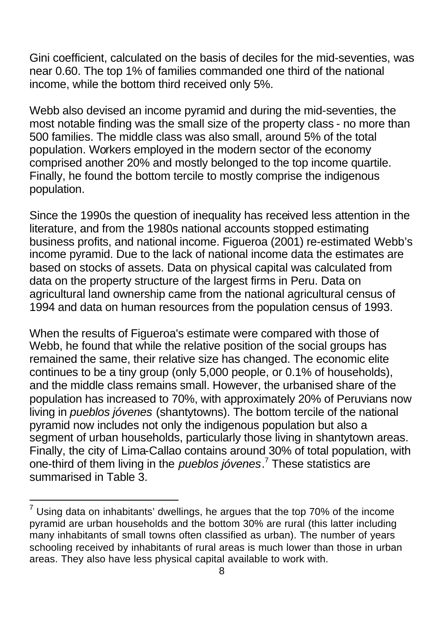Gini coefficient, calculated on the basis of deciles for the mid-seventies, was near 0.60. The top 1% of families commanded one third of the national income, while the bottom third received only 5%.

Webb also devised an income pyramid and during the mid-seventies, the most notable finding was the small size of the property class - no more than 500 families. The middle class was also small, around 5% of the total population. Workers employed in the modern sector of the economy comprised another 20% and mostly belonged to the top income quartile. Finally, he found the bottom tercile to mostly comprise the indigenous population.

Since the 1990s the question of inequality has received less attention in the literature, and from the 1980s national accounts stopped estimating business profits, and national income. Figueroa (2001) re-estimated Webb's income pyramid. Due to the lack of national income data the estimates are based on stocks of assets. Data on physical capital was calculated from data on the property structure of the largest firms in Peru. Data on agricultural land ownership came from the national agricultural census of 1994 and data on human resources from the population census of 1993.

When the results of Figueroa's estimate were compared with those of Webb, he found that while the relative position of the social groups has remained the same, their relative size has changed. The economic elite continues to be a tiny group (only 5,000 people, or 0.1% of households), and the middle class remains small. However, the urbanised share of the population has increased to 70%, with approximately 20% of Peruvians now living in *pueblos jóvenes* (shantytowns). The bottom tercile of the national pyramid now includes not only the indigenous population but also a segment of urban households, particularly those living in shantytown areas. Finally, the city of Lima-Callao contains around 30% of total population, with one-third of them living in the *pueblos jóvenes*. 7 These statistics are summarised in Table 3.

l

 $<sup>7</sup>$  Using data on inhabitants' dwellings, he argues that the top 70% of the income</sup> pyramid are urban households and the bottom 30% are rural (this latter including many inhabitants of small towns often classified as urban). The number of years schooling received by inhabitants of rural areas is much lower than those in urban areas. They also have less physical capital available to work with.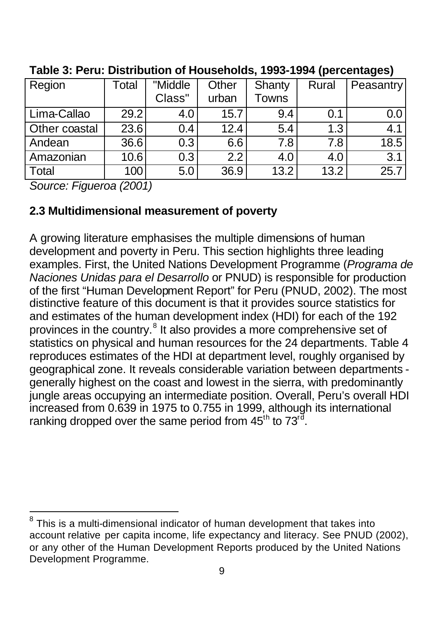| Region        | Total | "Middle | Other | Shanty       | Rural | Peasantry |
|---------------|-------|---------|-------|--------------|-------|-----------|
|               |       | Class"  | urban | <b>Towns</b> |       |           |
| Lima-Callao   | 29.2  | 4.0     | 15.7  | 9.4          | 0.1   | 0.0       |
| Other coastal | 23.6  | 0.4     | 12.4  | 5.4          | 1.3   | 4.1       |
| Andean        | 36.6  | 0.3     | 6.6   | 7.8          | 7.8   | 18.5      |
| Amazonian     | 10.6  | 0.3     | 2.2   | 4.0          | 4.0   | 3.1       |
| Total         | 100   | 5.0     | 36.9  | 13.2         | 13.2  | 25.7      |

**Table 3: Peru: Distribution of Households, 1993-1994 (percentages)**

*Source: Figueroa (2001)*

### **2.3 Multidimensional measurement of poverty**

A growing literature emphasises the multiple dimensions of human development and poverty in Peru. This section highlights three leading examples. First, the United Nations Development Programme (*Programa de Naciones Unidas para el Desarrollo* or PNUD) is responsible for production of the first "Human Development Report" for Peru (PNUD, 2002). The most distinctive feature of this document is that it provides source statistics for and estimates of the human development index (HDI) for each of the 192 provinces in the country.<sup>8</sup> It also provides a more comprehensive set of statistics on physical and human resources for the 24 departments. Table 4 reproduces estimates of the HDI at department level, roughly organised by geographical zone. It reveals considerable variation between departments generally highest on the coast and lowest in the sierra, with predominantly jungle areas occupying an intermediate position. Overall, Peru's overall HDI increased from 0.639 in 1975 to 0.755 in 1999, although its international ranking dropped over the same period from 45<sup>th</sup> to 73<sup>rd</sup>.

l 8 This is a multi-dimensional indicator of human development that takes into account relative per capita income, life expectancy and literacy. See PNUD (2002), or any other of the Human Development Reports produced by the United Nations Development Programme.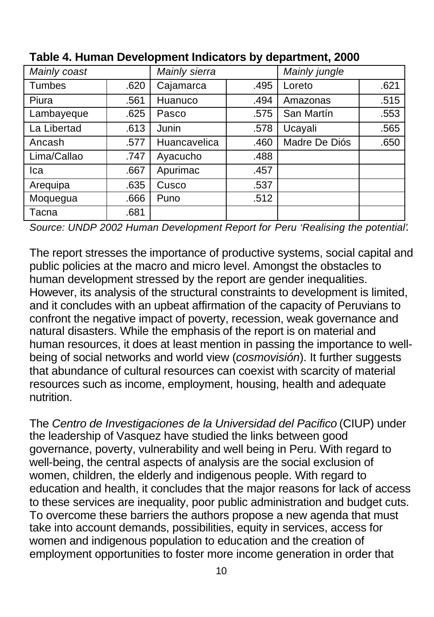| Mainly coast |      | <b>Mainly sierra</b> |      | Mainly jungle |      |
|--------------|------|----------------------|------|---------------|------|
| Tumbes       | .620 | Cajamarca            | .495 | Loreto        | .621 |
| Piura        | .561 | Huanuco              | .494 | Amazonas      | .515 |
| Lambayeque   | .625 | Pasco                | .575 | San Martín    | .553 |
| La Libertad  | .613 | Junin                | .578 | Ucayali       | .565 |
| Ancash       | .577 | Huancavelica         | .460 | Madre De Diós | .650 |
| Lima/Callao  | .747 | Ayacucho             | .488 |               |      |
| Ica          | .667 | Apurimac             | .457 |               |      |
| Arequipa     | .635 | Cusco                | .537 |               |      |
| Moquegua     | .666 | Puno                 | .512 |               |      |
| Tacna        | .681 |                      |      |               |      |

**Table 4. Human Development Indicators by department, 2000**

*Source: UNDP 2002 Human Development Report for Peru 'Realising the potential'.*

The report stresses the importance of productive systems, social capital and public policies at the macro and micro level. Amongst the obstacles to human development stressed by the report are gender inequalities. However, its analysis of the structural constraints to development is limited, and it concludes with an upbeat affirmation of the capacity of Peruvians to confront the negative impact of poverty, recession, weak governance and natural disasters. While the emphasis of the report is on material and human resources, it does at least mention in passing the importance to wellbeing of social networks and world view (*cosmovisión*). It further suggests that abundance of cultural resources can coexist with scarcity of material resources such as income, employment, housing, health and adequate nutrition.

The *Centro de Investigaciones de la Universidad del Pacifico* (CIUP) under the leadership of Vasquez have studied the links between good governance, poverty, vulnerability and well being in Peru. With regard to well-being, the central aspects of analysis are the social exclusion of women, children, the elderly and indigenous people. With regard to education and health, it concludes that the major reasons for lack of access to these services are inequality, poor public administration and budget cuts. To overcome these barriers the authors propose a new agenda that must take into account demands, possibilities, equity in services, access for women and indigenous population to education and the creation of employment opportunities to foster more income generation in order that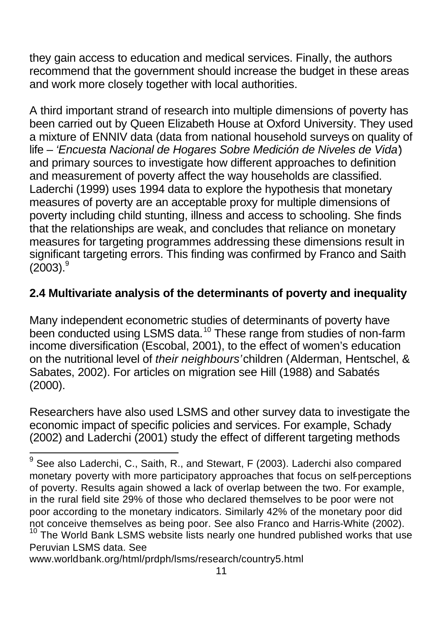they gain access to education and medical services. Finally, the authors recommend that the government should increase the budget in these areas and work more closely together with local authorities.

A third important strand of research into multiple dimensions of poverty has been carried out by Queen Elizabeth House at Oxford University. They used a mixture of ENNIV data (data from national household surveys on quality of life – *'Encuesta Nacional de Hogares Sobre Medición de Niveles de Vida'*) and primary sources to investigate how different approaches to definition and measurement of poverty affect the way households are classified. Laderchi (1999) uses 1994 data to explore the hypothesis that monetary measures of poverty are an acceptable proxy for multiple dimensions of poverty including child stunting, illness and access to schooling. She finds that the relationships are weak, and concludes that reliance on monetary measures for targeting programmes addressing these dimensions result in significant targeting errors. This finding was confirmed by Franco and Saith  $(2003).<sup>9</sup>$ 

## **2.4 Multivariate analysis of the determinants of poverty and inequality**

Many independent econometric studies of determinants of poverty have been conducted using LSMS data.<sup>10</sup> These range from studies of non-farm income diversification (Escobal, 2001), to the effect of women's education on the nutritional level of *their neighbours'* children (Alderman, Hentschel, & Sabates, 2002). For articles on migration see Hill (1988) and Sabatés (2000).

Researchers have also used LSMS and other survey data to investigate the economic impact of specific policies and services. For example, Schady (2002) and Laderchi (2001) study the effect of different targeting methods

Peruvian LSMS data. See

 9 See also Laderchi, C., Saith, R., and Stewart, F (2003). Laderchi also compared monetary poverty with more participatory approaches that focus on self-perceptions of poverty. Results again showed a lack of overlap between the two. For example, in the rural field site 29% of those who declared themselves to be poor were not poor according to the monetary indicators. Similarly 42% of the monetary poor did not conceive themselves as being poor. See also Franco and Harris-White (2002).  $10$  The World Bank LSMS website lists nearly one hundred published works that use

www.worldbank.org/html/prdph/lsms/research/country5.html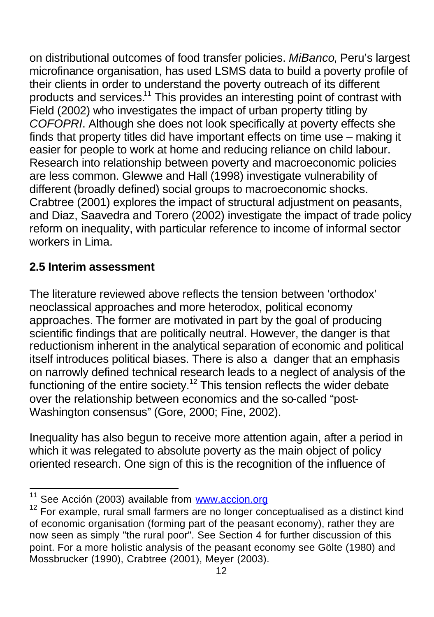on distributional outcomes of food transfer policies. *MiBanco*, Peru's largest microfinance organisation, has used LSMS data to build a poverty profile of their clients in order to understand the poverty outreach of its different products and services.<sup>11</sup> This provides an interesting point of contrast with Field (2002) who investigates the impact of urban property titling by *COFOPRI*. Although she does not look specifically at poverty effects she finds that property titles did have important effects on time use – making it easier for people to work at home and reducing reliance on child labour. Research into relationship between poverty and macroeconomic policies are less common. Glewwe and Hall (1998) investigate vulnerability of different (broadly defined) social groups to macroeconomic shocks. Crabtree (2001) explores the impact of structural adjustment on peasants, and Diaz, Saavedra and Torero (2002) investigate the impact of trade policy reform on inequality, with particular reference to income of informal sector workers in Lima.

## **2.5 Interim assessment**

The literature reviewed above reflects the tension between 'orthodox' neoclassical approaches and more heterodox, political economy approaches. The former are motivated in part by the goal of producing scientific findings that are politically neutral. However, the danger is that reductionism inherent in the analytical separation of economic and political itself introduces political biases. There is also a danger that an emphasis on narrowly defined technical research leads to a neglect of analysis of the functioning of the entire society.<sup>12</sup> This tension reflects the wider debate over the relationship between economics and the so-called "post-Washington consensus" (Gore, 2000; Fine, 2002).

Inequality has also begun to receive more attention again, after a period in which it was relegated to absolute poverty as the main object of policy oriented research. One sign of this is the recognition of the influence of

 $\overline{\phantom{a}}$ See Acción (2003) available from www.accion.org

<sup>&</sup>lt;sup>12</sup> For example, rural small farmers are no longer conceptualised as a distinct kind of economic organisation (forming part of the peasant economy), rather they are now seen as simply "the rural poor". See Section 4 for further discussion of this point. For a more holistic analysis of the peasant economy see Gölte (1980) and Mossbrucker (1990), Crabtree (2001), Meyer (2003).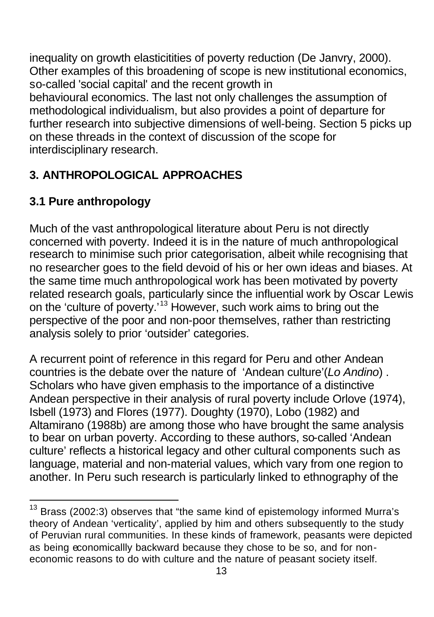inequality on growth elasticitities of poverty reduction (De Janvry, 2000). Other examples of this broadening of scope is new institutional economics, so-called 'social capital' and the recent growth in behavioural economics. The last not only challenges the assumption of methodological individualism, but also provides a point of departure for further research into subjective dimensions of well-being. Section 5 picks up on these threads in the context of discussion of the scope for interdisciplinary research.

# **3. ANTHROPOLOGICAL APPROACHES**

# **3.1 Pure anthropology**

l

Much of the vast anthropological literature about Peru is not directly concerned with poverty. Indeed it is in the nature of much anthropological research to minimise such prior categorisation, albeit while recognising that no researcher goes to the field devoid of his or her own ideas and biases. At the same time much anthropological work has been motivated by poverty related research goals, particularly since the influential work by Oscar Lewis on the 'culture of poverty.'<sup>13</sup> However, such work aims to bring out the perspective of the poor and non-poor themselves, rather than restricting analysis solely to prior 'outsider' categories.

A recurrent point of reference in this regard for Peru and other Andean countries is the debate over the nature of 'Andean culture'(*Lo Andino*) . Scholars who have given emphasis to the importance of a distinctive Andean perspective in their analysis of rural poverty include Orlove (1974), Isbell (1973) and Flores (1977). Doughty (1970), Lobo (1982) and Altamirano (1988b) are among those who have brought the same analysis to bear on urban poverty. According to these authors, so-called 'Andean culture' reflects a historical legacy and other cultural components such as language, material and non-material values, which vary from one region to another. In Peru such research is particularly linked to ethnography of the

Brass (2002:3) observes that "the same kind of epistemology informed Murra's theory of Andean 'verticality', applied by him and others subsequently to the study of Peruvian rural communities. In these kinds of framework, peasants were depicted as being economicallly backward because they chose to be so, and for noneconomic reasons to do with culture and the nature of peasant society itself.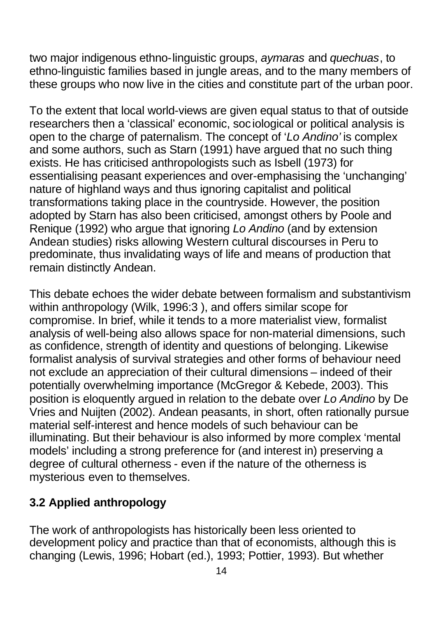two major indigenous ethno-linguistic groups, *aymaras* and *quechuas*, to ethno-linguistic families based in jungle areas, and to the many members of these groups who now live in the cities and constitute part of the urban poor.

To the extent that local world-views are given equal status to that of outside researchers then a 'classical' economic, sociological or political analysis is open to the charge of paternalism. The concept of '*Lo Andino'* is complex and some authors, such as Starn (1991) have argued that no such thing exists. He has criticised anthropologists such as Isbell (1973) for essentialising peasant experiences and over-emphasising the 'unchanging' nature of highland ways and thus ignoring capitalist and political transformations taking place in the countryside. However, the position adopted by Starn has also been criticised, amongst others by Poole and Renique (1992) who argue that ignoring *Lo Andino* (and by extension Andean studies) risks allowing Western cultural discourses in Peru to predominate, thus invalidating ways of life and means of production that remain distinctly Andean.

This debate echoes the wider debate between formalism and substantivism within anthropology (Wilk, 1996:3 ), and offers similar scope for compromise. In brief, while it tends to a more materialist view, formalist analysis of well-being also allows space for non-material dimensions, such as confidence, strength of identity and questions of belonging. Likewise formalist analysis of survival strategies and other forms of behaviour need not exclude an appreciation of their cultural dimensions – indeed of their potentially overwhelming importance (McGregor & Kebede, 2003). This position is eloquently argued in relation to the debate over *Lo Andino* by De Vries and Nuijten (2002). Andean peasants, in short, often rationally pursue material self-interest and hence models of such behaviour can be illuminating. But their behaviour is also informed by more complex 'mental models' including a strong preference for (and interest in) preserving a degree of cultural otherness - even if the nature of the otherness is mysterious even to themselves.

## **3.2 Applied anthropology**

The work of anthropologists has historically been less oriented to development policy and practice than that of economists, although this is changing (Lewis, 1996; Hobart (ed.), 1993; Pottier, 1993). But whether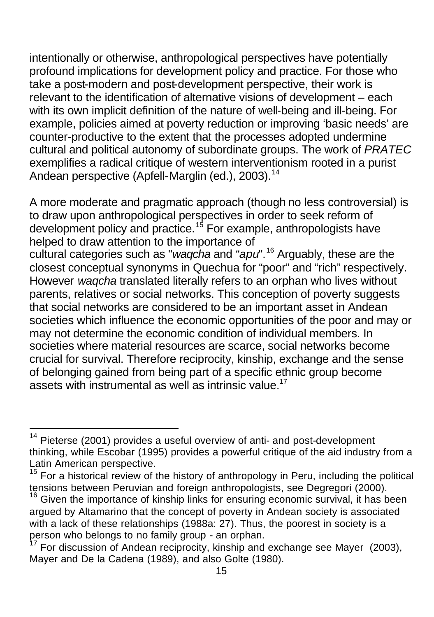intentionally or otherwise, anthropological perspectives have potentially profound implications for development policy and practice. For those who take a post-modern and post-development perspective, their work is relevant to the identification of alternative visions of development – each with its own implicit definition of the nature of well-being and ill-being. For example, policies aimed at poverty reduction or improving 'basic needs' are counter-productive to the extent that the processes adopted undermine cultural and political autonomy of subordinate groups. The work of *PRATEC* exemplifies a radical critique of western interventionism rooted in a purist Andean perspective (Apfell-Marglin (ed.), 2003).<sup>14</sup>

A more moderate and pragmatic approach (though no less controversial) is to draw upon anthropological perspectives in order to seek reform of development policy and practice.<sup>15</sup> For example, anthropologists have helped to draw attention to the importance of

cultural categories such as "*waqcha* and *"apu*". <sup>16</sup> Arguably, these are the closest conceptual synonyms in Quechua for "poor" and "rich" respectively. However *waqcha* translated literally refers to an orphan who lives without parents, relatives or social networks. This conception of poverty suggests that social networks are considered to be an important asset in Andean societies which influence the economic opportunities of the poor and may or may not determine the economic condition of individual members. In societies where material resources are scarce, social networks become crucial for survival. Therefore reciprocity, kinship, exchange and the sense of belonging gained from being part of a specific ethnic group become assets with instrumental as well as intrinsic value.<sup>17</sup>

l

Pieterse (2001) provides a useful overview of anti- and post-development thinking, while Escobar (1995) provides a powerful critique of the aid industry from a Latin American perspective.

 $15$  For a historical review of the history of anthropology in Peru, including the political tensions between Peruvian and foreign anthropologists, see Degregori (2000).

 $16$  Given the importance of kinship links for ensuring economic survival, it has been argued by Altamarino that the concept of poverty in Andean society is associated with a lack of these relationships (1988a: 27). Thus, the poorest in society is a person who belongs to no family group - an orphan.

For discussion of Andean reciprocity, kinship and exchange see Mayer (2003), Mayer and De la Cadena (1989), and also Golte (1980).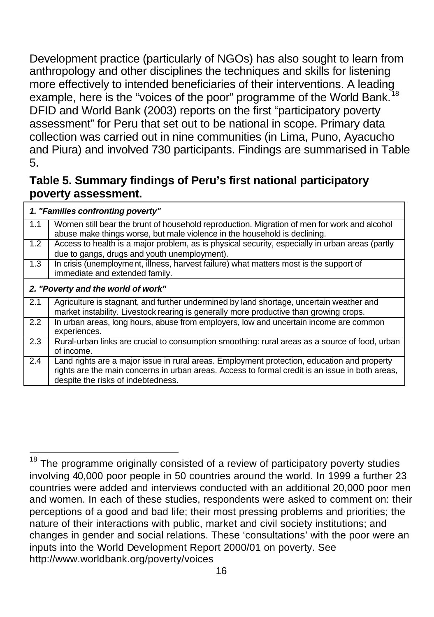Development practice (particularly of NGOs) has also sought to learn from anthropology and other disciplines the techniques and skills for listening more effectively to intended beneficiaries of their interventions. A leading example, here is the "voices of the poor" programme of the World Bank. DFID and World Bank (2003) reports on the first "participatory poverty assessment" for Peru that set out to be national in scope. Primary data collection was carried out in nine communities (in Lima, Puno, Ayacucho and Piura) and involved 730 participants. Findings are summarised in Table 5.

### **Table 5. Summary findings of Peru's first national participatory poverty assessment.**

|                  | 1. "Families confronting poverty"                                                                                                                                                                                                    |
|------------------|--------------------------------------------------------------------------------------------------------------------------------------------------------------------------------------------------------------------------------------|
| 1.1              | Women still bear the brunt of household reproduction. Migration of men for work and alcohol<br>abuse make things worse, but male violence in the household is declining.                                                             |
| 1.2              | Access to health is a major problem, as is physical security, especially in urban areas (partly<br>due to gangs, drugs and youth unemployment).                                                                                      |
| 1.3              | In crisis (unemployment, illness, harvest failure) what matters most is the support of<br>immediate and extended family.                                                                                                             |
|                  | 2. "Poverty and the world of work"                                                                                                                                                                                                   |
| 2.1              | Agriculture is stagnant, and further undermined by land shortage, uncertain weather and<br>market instability. Livestock rearing is generally more productive than growing crops.                                                    |
| 2.2              | In urban areas, long hours, abuse from employers, low and uncertain income are common<br>experiences.                                                                                                                                |
| 2.3              | Rural-urban links are crucial to consumption smoothing: rural areas as a source of food, urban<br>of income.                                                                                                                         |
| $\overline{2.4}$ | Land rights are a major issue in rural areas. Employment protection, education and property<br>rights are the main concerns in urban areas. Access to formal credit is an issue in both areas,<br>despite the risks of indebtedness. |

 $\overline{\phantom{a}}$ The programme originally consisted of a review of participatory poverty studies involving 40,000 poor people in 50 countries around the world. In 1999 a further 23 countries were added and interviews conducted with an additional 20,000 poor men and women. In each of these studies, respondents were asked to comment on: their perceptions of a good and bad life; their most pressing problems and priorities; the nature of their interactions with public, market and civil society institutions; and changes in gender and social relations. These 'consultations' with the poor were an inputs into the World Development Report 2000/01 on poverty. See http://www.worldbank.org/poverty/voices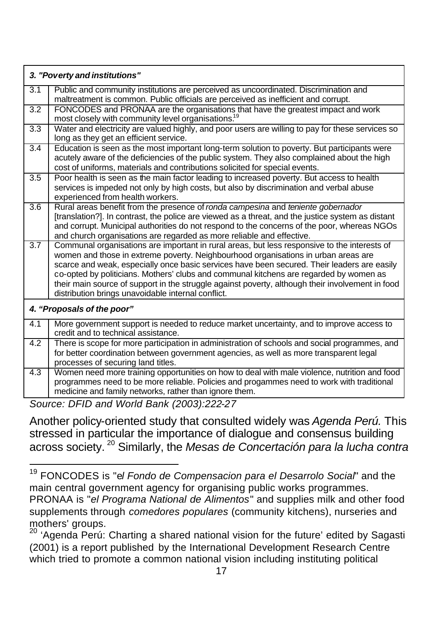|                  | 3. "Poverty and institutions"                                                                                                                                                                                                                                                                                                                                                                                                                                                                                                         |
|------------------|---------------------------------------------------------------------------------------------------------------------------------------------------------------------------------------------------------------------------------------------------------------------------------------------------------------------------------------------------------------------------------------------------------------------------------------------------------------------------------------------------------------------------------------|
| 3.1              | Public and community institutions are perceived as uncoordinated. Discrimination and<br>maltreatment is common. Public officials are perceived as inefficient and corrupt.                                                                                                                                                                                                                                                                                                                                                            |
| 3.2              | FONCODES and PRONAA are the organisations that have the greatest impact and work<br>most closely with community level organisations. <sup>19</sup>                                                                                                                                                                                                                                                                                                                                                                                    |
| 3.3              | Water and electricity are valued highly, and poor users are willing to pay for these services so<br>long as they get an efficient service.                                                                                                                                                                                                                                                                                                                                                                                            |
| $\overline{3.4}$ | Education is seen as the most important long-term solution to poverty. But participants were<br>acutely aware of the deficiencies of the public system. They also complained about the high<br>cost of uniforms, materials and contributions solicited for special events.                                                                                                                                                                                                                                                            |
| 3.5              | Poor health is seen as the main factor leading to increased poverty. But access to health<br>services is impeded not only by high costs, but also by discrimination and verbal abuse<br>experienced from health workers.                                                                                                                                                                                                                                                                                                              |
| 3.6              | Rural areas benefit from the presence of ronda campesina and teniente gobernador<br>[translation?]. In contrast, the police are viewed as a threat, and the justice system as distant<br>and corrupt. Municipal authorities do not respond to the concerns of the poor, whereas NGOs<br>and church organisations are regarded as more reliable and effective.                                                                                                                                                                         |
| 3.7              | Communal organisations are important in rural areas, but less responsive to the interests of<br>women and those in extreme poverty. Neighbourhood organisations in urban areas are<br>scarce and weak, especially once basic services have been secured. Their leaders are easily<br>co-opted by politicians. Mothers' clubs and communal kitchens are regarded by women as<br>their main source of support in the struggle against poverty, although their involvement in food<br>distribution brings unavoidable internal conflict. |
|                  | 4. "Proposals of the poor"                                                                                                                                                                                                                                                                                                                                                                                                                                                                                                            |
| 4.1              | More government support is needed to reduce market uncertainty, and to improve access to<br>credit and to technical assistance.                                                                                                                                                                                                                                                                                                                                                                                                       |
| 4.2              | There is scope for more participation in administration of schools and social programmes, and<br>for better coordination between government agencies, as well as more transparent legal<br>processes of securing land titles.                                                                                                                                                                                                                                                                                                         |
| 4.3              | Women need more training opportunities on how to deal with male violence, nutrition and food<br>programmes need to be more reliable. Policies and progammes need to work with traditional<br>medicine and family networks, rather than ignore them.<br>$(111)$ $(10)$ $(0.000)$ 000 0                                                                                                                                                                                                                                                 |

*Source: DFID and World Bank (2003):222-27*

l

Another policy-oriented study that consulted widely was *Agenda Perú.* This stressed in particular the importance of dialogue and consensus building across society. <sup>20</sup> Similarly, the *Mesas de Concertación para la lucha contra* 

<sup>19</sup> FONCODES is "e*l Fondo de Compensacion para el Desarrolo Social*" and the main central government agency for organising public works programmes. PRONAA is "*el Programa National de Alimentos*" and supplies milk and other food supplements through *comedores populares* (community kitchens), nurseries and mothers' groups.

<sup>&</sup>lt;sup>20</sup> 'Agenda Perú: Charting a shared national vision for the future' edited by Sagasti (2001) is a report published by the International Development Research Centre which tried to promote a common national vision including instituting political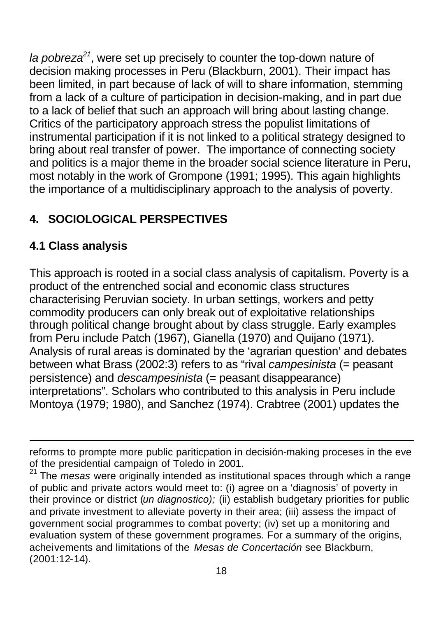*la pobreza<sup>21</sup>*, were set up precisely to counter the top-down nature of decision making processes in Peru (Blackburn, 2001). Their impact has been limited, in part because of lack of will to share information, stemming from a lack of a culture of participation in decision-making, and in part due to a lack of belief that such an approach will bring about lasting change. Critics of the participatory approach stress the populist limitations of instrumental participation if it is not linked to a political strategy designed to bring about real transfer of power. The importance of connecting society and politics is a major theme in the broader social science literature in Peru, most notably in the work of Grompone (1991; 1995). This again highlights the importance of a multidisciplinary approach to the analysis of poverty.

# **4. SOCIOLOGICAL PERSPECTIVES**

## **4.1 Class analysis**

l

This approach is rooted in a social class analysis of capitalism. Poverty is a product of the entrenched social and economic class structures characterising Peruvian society. In urban settings, workers and petty commodity producers can only break out of exploitative relationships through political change brought about by class struggle. Early examples from Peru include Patch (1967), Gianella (1970) and Quijano (1971). Analysis of rural areas is dominated by the 'agrarian question' and debates between what Brass (2002:3) refers to as "rival *campesinista* (= peasant persistence) and *descampesinista* (= peasant disappearance) interpretations". Scholars who contributed to this analysis in Peru include Montoya (1979; 1980), and Sanchez (1974). Crabtree (2001) updates the

reforms to prompte more public pariticpation in decisión-making proceses in the eve of the presidential campaign of Toledo in 2001.

<sup>21</sup> The *mesas* were originally intended as institutional spaces through which a range of public and private actors would meet to: (i) agree on a 'diagnosis' of poverty in their province or district (*un diagnostico);* (ii) establish budgetary priorities for public and private investment to alleviate poverty in their area; (iii) assess the impact of government social programmes to combat poverty; (iv) set up a monitoring and evaluation system of these government programes. For a summary of the origins, acheivements and limitations of the *Mesas de Concertación* see Blackburn, (2001:12-14).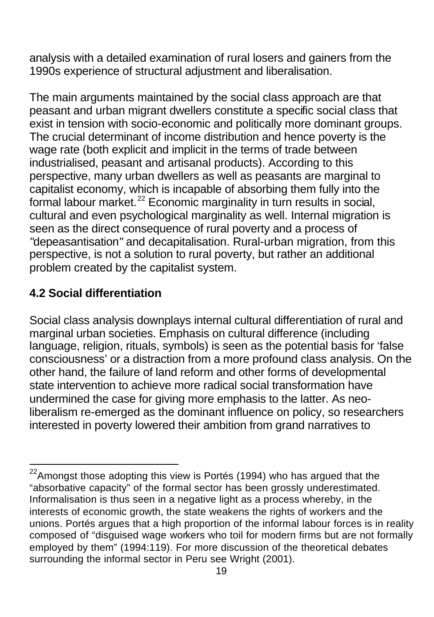analysis with a detailed examination of rural losers and gainers from the 1990s experience of structural adjustment and liberalisation.

The main arguments maintained by the social class approach are that peasant and urban migrant dwellers constitute a specific social class that exist in tension with socio-economic and politically more dominant groups. The crucial determinant of income distribution and hence poverty is the wage rate (both explicit and implicit in the terms of trade between industrialised, peasant and artisanal products). According to this perspective, many urban dwellers as well as peasants are marginal to capitalist economy, which is incapable of absorbing them fully into the formal labour market.<sup>22</sup> Economic marginality in turn results in social, cultural and even psychological marginality as well. Internal migration is seen as the direct consequence of rural poverty and a process of *"*depeasantisation*"* and decapitalisation. Rural-urban migration, from this perspective, is not a solution to rural poverty, but rather an additional problem created by the capitalist system.

# **4.2 Social differentiation**

l

Social class analysis downplays internal cultural differentiation of rural and marginal urban societies. Emphasis on cultural difference (including language, religion, rituals, symbols) is seen as the potential basis for 'false consciousness' or a distraction from a more profound class analysis. On the other hand, the failure of land reform and other forms of developmental state intervention to achieve more radical social transformation have undermined the case for giving more emphasis to the latter. As neoliberalism re-emerged as the dominant influence on policy, so researchers interested in poverty lowered their ambition from grand narratives to

 $^{22}$ Amongst those adopting this view is Portés (1994) who has argued that the "absorbative capacity" of the formal sector has been grossly underestimated. Informalisation is thus seen in a negative light as a process whereby, in the interests of economic growth, the state weakens the rights of workers and the unions. Portés argues that a high proportion of the informal labour forces is in reality composed of "disguised wage workers who toil for modern firms but are not formally employed by them" (1994:119). For more discussion of the theoretical debates surrounding the informal sector in Peru see Wright (2001).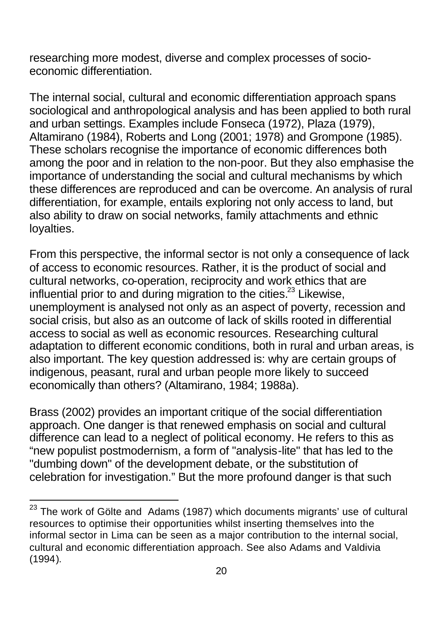researching more modest, diverse and complex processes of socioeconomic differentiation.

The internal social, cultural and economic differentiation approach spans sociological and anthropological analysis and has been applied to both rural and urban settings. Examples include Fonseca (1972), Plaza (1979), Altamirano (1984), Roberts and Long (2001; 1978) and Grompone (1985). These scholars recognise the importance of economic differences both among the poor and in relation to the non-poor. But they also emphasise the importance of understanding the social and cultural mechanisms by which these differences are reproduced and can be overcome. An analysis of rural differentiation, for example, entails exploring not only access to land, but also ability to draw on social networks, family attachments and ethnic loyalties.

From this perspective, the informal sector is not only a consequence of lack of access to economic resources. Rather, it is the product of social and cultural networks, co-operation, reciprocity and work ethics that are influential prior to and during migration to the cities. $^{23}$  Likewise, unemployment is analysed not only as an aspect of poverty, recession and social crisis, but also as an outcome of lack of skills rooted in differential access to social as well as economic resources. Researching cultural adaptation to different economic conditions, both in rural and urban areas, is also important. The key question addressed is: why are certain groups of indigenous, peasant, rural and urban people more likely to succeed economically than others? (Altamirano, 1984; 1988a).

Brass (2002) provides an important critique of the social differentiation approach. One danger is that renewed emphasis on social and cultural difference can lead to a neglect of political economy. He refers to this as "new populist postmodernism, a form of "analysis-lite" that has led to the "dumbing down" of the development debate, or the substitution of celebration for investigation." But the more profound danger is that such

l

 $^{23}$  The work of Gölte and Adams (1987) which documents migrants' use of cultural resources to optimise their opportunities whilst inserting themselves into the informal sector in Lima can be seen as a major contribution to the internal social, cultural and economic differentiation approach. See also Adams and Valdivia (1994).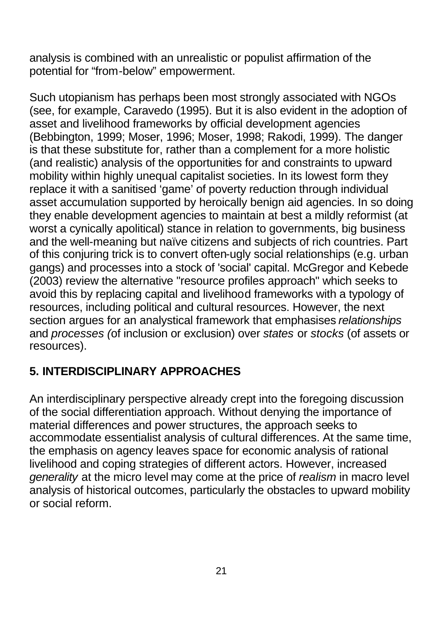analysis is combined with an unrealistic or populist affirmation of the potential for "from-below" empowerment.

Such utopianism has perhaps been most strongly associated with NGOs (see, for example, Caravedo (1995). But it is also evident in the adoption of asset and livelihood frameworks by official development agencies (Bebbington, 1999; Moser, 1996; Moser, 1998; Rakodi, 1999). The danger is that these substitute for, rather than a complement for a more holistic (and realistic) analysis of the opportunities for and constraints to upward mobility within highly unequal capitalist societies. In its lowest form they replace it with a sanitised 'game' of poverty reduction through individual asset accumulation supported by heroically benign aid agencies. In so doing they enable development agencies to maintain at best a mildly reformist (at worst a cynically apolitical) stance in relation to governments, big business and the well-meaning but naïve citizens and subjects of rich countries. Part of this conjuring trick is to convert often-ugly social relationships (e.g. urban gangs) and processes into a stock of 'social' capital. McGregor and Kebede (2003) review the alternative "resource profiles approach" which seeks to avoid this by replacing capital and livelihood frameworks with a typology of resources, including political and cultural resources. However, the next section argues for an analystical framework that emphasises *relationships* and *processes (*of inclusion or exclusion) over *states* or *stocks* (of assets or resources).

## **5. INTERDISCIPLINARY APPROACHES**

An interdisciplinary perspective already crept into the foregoing discussion of the social differentiation approach. Without denying the importance of material differences and power structures, the approach seeks to accommodate essentialist analysis of cultural differences. At the same time, the emphasis on agency leaves space for economic analysis of rational livelihood and coping strategies of different actors. However, increased *generality* at the micro level may come at the price of *realism* in macro level analysis of historical outcomes, particularly the obstacles to upward mobility or social reform.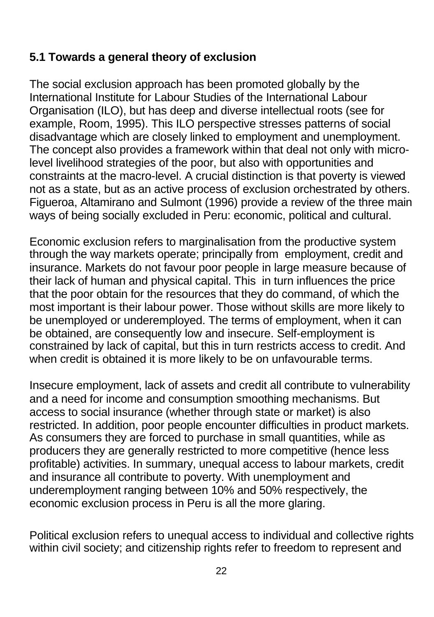### **5.1 Towards a general theory of exclusion**

The social exclusion approach has been promoted globally by the International Institute for Labour Studies of the International Labour Organisation (ILO), but has deep and diverse intellectual roots (see for example, Room, 1995). This ILO perspective stresses patterns of social disadvantage which are closely linked to employment and unemployment. The concept also provides a framework within that deal not only with microlevel livelihood strategies of the poor, but also with opportunities and constraints at the macro-level. A crucial distinction is that poverty is viewed not as a state, but as an active process of exclusion orchestrated by others. Figueroa, Altamirano and Sulmont (1996) provide a review of the three main ways of being socially excluded in Peru: economic, political and cultural.

Economic exclusion refers to marginalisation from the productive system through the way markets operate; principally from employment, credit and insurance. Markets do not favour poor people in large measure because of their lack of human and physical capital. This in turn influences the price that the poor obtain for the resources that they do command, of which the most important is their labour power. Those without skills are more likely to be unemployed or underemployed. The terms of employment, when it can be obtained, are consequently low and insecure. Self-employment is constrained by lack of capital, but this in turn restricts access to credit. And when credit is obtained it is more likely to be on unfavourable terms.

Insecure employment, lack of assets and credit all contribute to vulnerability and a need for income and consumption smoothing mechanisms. But access to social insurance (whether through state or market) is also restricted. In addition, poor people encounter difficulties in product markets. As consumers they are forced to purchase in small quantities, while as producers they are generally restricted to more competitive (hence less profitable) activities. In summary, unequal access to labour markets, credit and insurance all contribute to poverty. With unemployment and underemployment ranging between 10% and 50% respectively, the economic exclusion process in Peru is all the more glaring.

Political exclusion refers to unequal access to individual and collective rights within civil society; and citizenship rights refer to freedom to represent and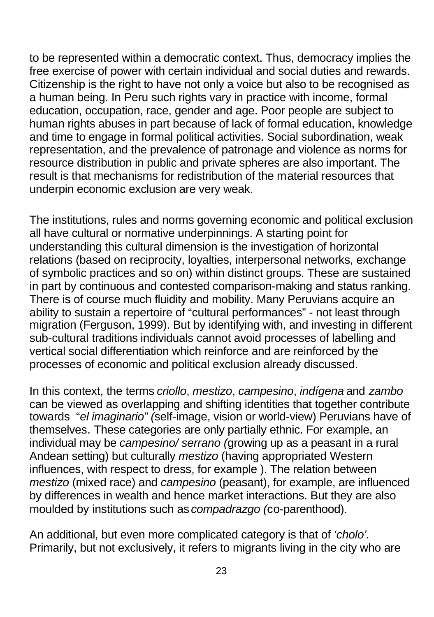to be represented within a democratic context. Thus, democracy implies the free exercise of power with certain individual and social duties and rewards. Citizenship is the right to have not only a voice but also to be recognised as a human being. In Peru such rights vary in practice with income, formal education, occupation, race, gender and age. Poor people are subject to human rights abuses in part because of lack of formal education, knowledge and time to engage in formal political activities. Social subordination, weak representation, and the prevalence of patronage and violence as norms for resource distribution in public and private spheres are also important. The result is that mechanisms for redistribution of the material resources that underpin economic exclusion are very weak.

The institutions, rules and norms governing economic and political exclusion all have cultural or normative underpinnings. A starting point for understanding this cultural dimension is the investigation of horizontal relations (based on reciprocity, loyalties, interpersonal networks, exchange of symbolic practices and so on) within distinct groups. These are sustained in part by continuous and contested comparison-making and status ranking. There is of course much fluidity and mobility. Many Peruvians acquire an ability to sustain a repertoire of "cultural performances" - not least through migration (Ferguson, 1999). But by identifying with, and investing in different sub-cultural traditions individuals cannot avoid processes of labelling and vertical social differentiation which reinforce and are reinforced by the processes of economic and political exclusion already discussed.

In this context, the terms *criollo*, *mestizo*, *campesino*, *indígena* and *zambo*  can be viewed as overlapping and shifting identities that together contribute towards "*el imaginario" (*self-image, vision or world-view) Peruvians have of themselves*.* These categories are only partially ethnic. For example, an individual may be *campesino/ serrano (*growing up as a peasant in a rural Andean setting) but culturally *mestizo* (having appropriated Western influences, with respect to dress, for example ). The relation between *mestizo* (mixed race) and *campesino* (peasant), for example, are influenced by differences in wealth and hence market interactions. But they are also moulded by institutions such as *compadrazgo (*co-parenthood).

An additional, but even more complicated category is that of *'cholo'.*  Primarily, but not exclusively, it refers to migrants living in the city who are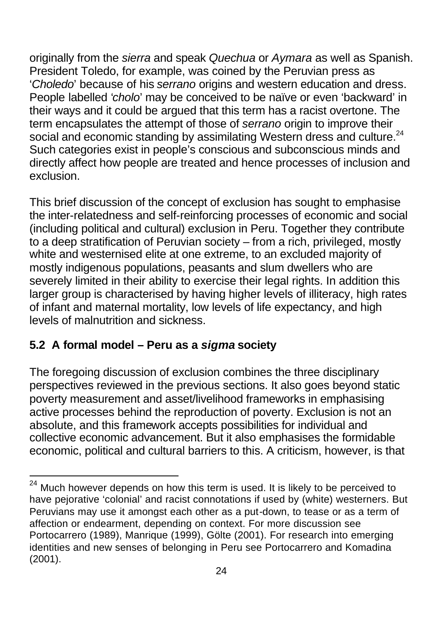originally from the *sierra* and speak *Quechua* or *Aymara* as well as Spanish. President Toledo, for example, was coined by the Peruvian press as '*Choledo*' because of his *serrano* origins and western education and dress. People labelled '*cholo*' may be conceived to be naïve or even 'backward' in their ways and it could be argued that this term has a racist overtone. The term encapsulates the attempt of those of *serrano* origin to improve their social and economic standing by assimilating Western dress and culture.<sup>24</sup> Such categories exist in people's conscious and subconscious minds and directly affect how people are treated and hence processes of inclusion and exclusion.

This brief discussion of the concept of exclusion has sought to emphasise the inter-relatedness and self-reinforcing processes of economic and social (including political and cultural) exclusion in Peru. Together they contribute to a deep stratification of Peruvian society – from a rich, privileged, mostly white and westernised elite at one extreme, to an excluded majority of mostly indigenous populations, peasants and slum dwellers who are severely limited in their ability to exercise their legal rights. In addition this larger group is characterised by having higher levels of illiteracy, high rates of infant and maternal mortality, low levels of life expectancy, and high levels of malnutrition and sickness.

## **5.2 A formal model – Peru as a** *sigma* **society**

l

The foregoing discussion of exclusion combines the three disciplinary perspectives reviewed in the previous sections. It also goes beyond static poverty measurement and asset/livelihood frameworks in emphasising active processes behind the reproduction of poverty. Exclusion is not an absolute, and this framework accepts possibilities for individual and collective economic advancement. But it also emphasises the formidable economic, political and cultural barriers to this. A criticism, however, is that

 $^{24}$  Much however depends on how this term is used. It is likely to be perceived to have pejorative 'colonial' and racist connotations if used by (white) westerners. But Peruvians may use it amongst each other as a put-down, to tease or as a term of affection or endearment, depending on context. For more discussion see Portocarrero (1989), Manrique (1999), Gölte (2001). For research into emerging identities and new senses of belonging in Peru see Portocarrero and Komadina (2001).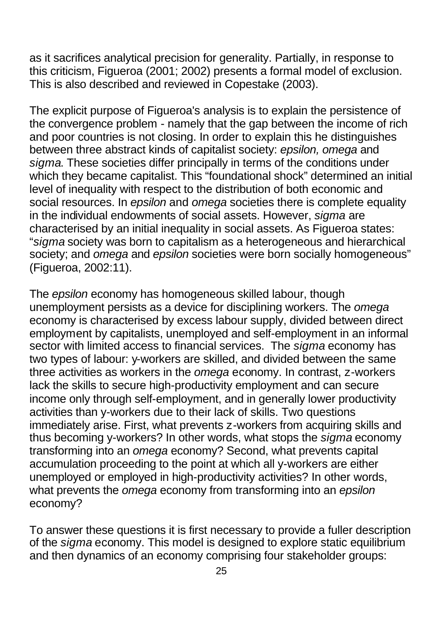as it sacrifices analytical precision for generality. Partially, in response to this criticism, Figueroa (2001; 2002) presents a formal model of exclusion. This is also described and reviewed in Copestake (2003).

The explicit purpose of Figueroa's analysis is to explain the persistence of the convergence problem - namely that the gap between the income of rich and poor countries is not closing. In order to explain this he distinguishes between three abstract kinds of capitalist society: *epsilon, omega* and *sigma*. These societies differ principally in terms of the conditions under which they became capitalist. This "foundational shock" determined an initial level of inequality with respect to the distribution of both economic and social resources. In *epsilon* and *omega* societies there is complete equality in the individual endowments of social assets. However, *sigma* are characterised by an initial inequality in social assets. As Figueroa states: "*sigma* society was born to capitalism as a heterogeneous and hierarchical society; and *omega* and *epsilon* societies were born socially homogeneous" (Figueroa, 2002:11).

The *epsilon* economy has homogeneous skilled labour, though unemployment persists as a device for disciplining workers. The *omega* economy is characterised by excess labour supply, divided between direct employment by capitalists, unemployed and self-employment in an informal sector with limited access to financial services. The *sigma* economy has two types of labour: y-workers are skilled, and divided between the same three activities as workers in the *omega* economy. In contrast, z-workers lack the skills to secure high-productivity employment and can secure income only through self-employment, and in generally lower productivity activities than y-workers due to their lack of skills. Two questions immediately arise. First, what prevents z-workers from acquiring skills and thus becoming y-workers? In other words, what stops the *sigma* economy transforming into an *omega* economy? Second, what prevents capital accumulation proceeding to the point at which all y-workers are either unemployed or employed in high-productivity activities? In other words, what prevents the *omega* economy from transforming into an *epsilon* economy?

To answer these questions it is first necessary to provide a fuller description of the *sigma* economy. This model is designed to explore static equilibrium and then dynamics of an economy comprising four stakeholder groups: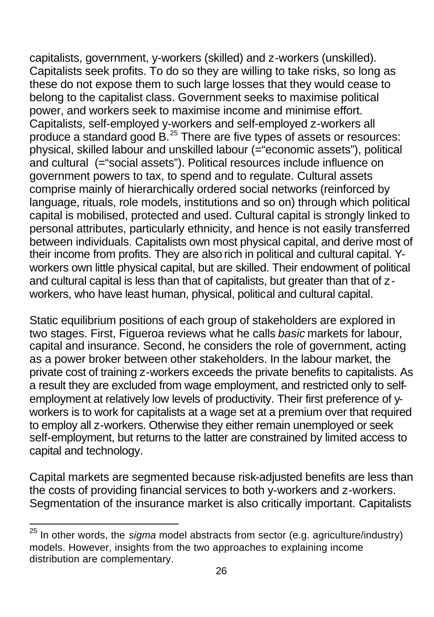capitalists, government, y-workers (skilled) and z-workers (unskilled). Capitalists seek profits. To do so they are willing to take risks, so long as these do not expose them to such large losses that they would cease to belong to the capitalist class. Government seeks to maximise political power, and workers seek to maximise income and minimise effort. Capitalists, self-employed y-workers and self-employed z-workers all produce a standard good B.<sup>25</sup> There are five types of assets or resources: physical, skilled labour and unskilled labour (="economic assets"), political and cultural (="social assets"). Political resources include influence on government powers to tax, to spend and to regulate. Cultural assets comprise mainly of hierarchically ordered social networks (reinforced by language, rituals, role models, institutions and so on) through which political capital is mobilised, protected and used. Cultural capital is strongly linked to personal attributes, particularly ethnicity, and hence is not easily transferred between individuals. Capitalists own most physical capital, and derive most of their income from profits. They are also rich in political and cultural capital. Yworkers own little physical capital, but are skilled. Their endowment of political and cultural capital is less than that of capitalists, but greater than that of zworkers, who have least human, physical, political and cultural capital.

Static equilibrium positions of each group of stakeholders are explored in two stages. First, Figueroa reviews what he calls *basic* markets for labour, capital and insurance. Second, he considers the role of government, acting as a power broker between other stakeholders. In the labour market, the private cost of training z-workers exceeds the private benefits to capitalists. As a result they are excluded from wage employment, and restricted only to selfemployment at relatively low levels of productivity. Their first preference of yworkers is to work for capitalists at a wage set at a premium over that required to employ all z-workers. Otherwise they either remain unemployed or seek self-employment, but returns to the latter are constrained by limited access to capital and technology.

Capital markets are segmented because risk-adjusted benefits are less than the costs of providing financial services to both y-workers and z-workers. Segmentation of the insurance market is also critically important. Capitalists

 $\overline{a}$ <sup>25</sup> In other words, the *sigma* model abstracts from sector (e.g. agriculture/industry) models. However, insights from the two approaches to explaining income distribution are complementary.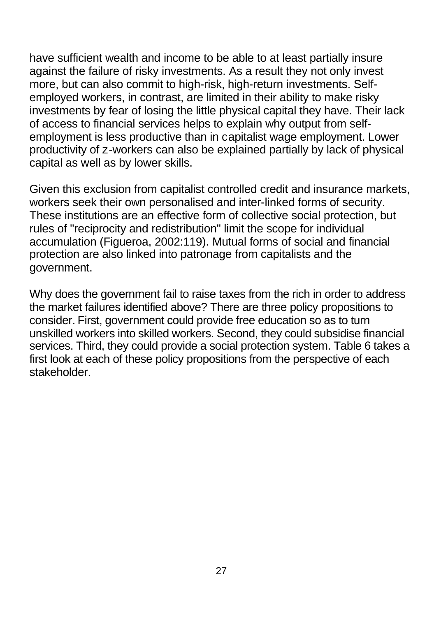have sufficient wealth and income to be able to at least partially insure against the failure of risky investments. As a result they not only invest more, but can also commit to high-risk, high-return investments. Selfemployed workers, in contrast, are limited in their ability to make risky investments by fear of losing the little physical capital they have. Their lack of access to financial services helps to explain why output from selfemployment is less productive than in capitalist wage employment. Lower productivity of z-workers can also be explained partially by lack of physical capital as well as by lower skills.

Given this exclusion from capitalist controlled credit and insurance markets, workers seek their own personalised and inter-linked forms of security. These institutions are an effective form of collective social protection, but rules of "reciprocity and redistribution" limit the scope for individual accumulation (Figueroa, 2002:119). Mutual forms of social and financial protection are also linked into patronage from capitalists and the government.

Why does the government fail to raise taxes from the rich in order to address the market failures identified above? There are three policy propositions to consider. First, government could provide free education so as to turn unskilled workers into skilled workers. Second, they could subsidise financial services. Third, they could provide a social protection system. Table 6 takes a first look at each of these policy propositions from the perspective of each stakeholder.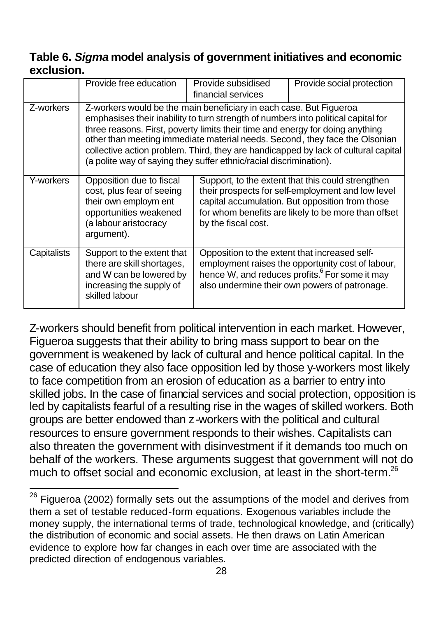### **Table 6.** *Sigma* **model analysis of government initiatives and economic exclusion.**

|             | Provide free education                                                                                                                          | Provide subsidised<br>financial services                                                                                                                                                                                                                                                                                                                                                                                                                                            | Provide social protection                                                                                                                                        |  |  |
|-------------|-------------------------------------------------------------------------------------------------------------------------------------------------|-------------------------------------------------------------------------------------------------------------------------------------------------------------------------------------------------------------------------------------------------------------------------------------------------------------------------------------------------------------------------------------------------------------------------------------------------------------------------------------|------------------------------------------------------------------------------------------------------------------------------------------------------------------|--|--|
| Z-workers   |                                                                                                                                                 | Z-workers would be the main beneficiary in each case. But Figueroa<br>emphasises their inability to turn strength of numbers into political capital for<br>three reasons. First, poverty limits their time and energy for doing anything<br>other than meeting immediate material needs. Second, they face the Olsonian<br>collective action problem. Third, they are handicapped by lack of cultural capital<br>(a polite way of saying they suffer ethnic/racial discrimination). |                                                                                                                                                                  |  |  |
| Y-workers   | Opposition due to fiscal<br>cost, plus fear of seeing<br>their own employm ent<br>opportunities weakened<br>(a labour aristocracy<br>argument). | Support, to the extent that this could strengthen<br>their prospects for self-employment and low level<br>capital accumulation. But opposition from those<br>for whom benefits are likely to be more than offset<br>by the fiscal cost.                                                                                                                                                                                                                                             |                                                                                                                                                                  |  |  |
| Capitalists | Support to the extent that<br>there are skill shortages,<br>and W can be lowered by<br>increasing the supply of<br>skilled labour               | Opposition to the extent that increased self-                                                                                                                                                                                                                                                                                                                                                                                                                                       | employment raises the opportunity cost of labour,<br>hence W, and reduces profits. <sup>6</sup> For some it may<br>also undermine their own powers of patronage. |  |  |

Z-workers should benefit from political intervention in each market. However, Figueroa suggests that their ability to bring mass support to bear on the government is weakened by lack of cultural and hence political capital. In the case of education they also face opposition led by those y-workers most likely to face competition from an erosion of education as a barrier to entry into skilled jobs. In the case of financial services and social protection, opposition is led by capitalists fearful of a resulting rise in the wages of skilled workers. Both groups are better endowed than z-workers with the political and cultural resources to ensure government responds to their wishes. Capitalists can also threaten the government with disinvestment if it demands too much on behalf of the workers. These arguments suggest that government will not do much to offset social and economic exclusion, at least in the short-term.<sup>26</sup>

 $\overline{a}$ Figueroa (2002) formally sets out the assumptions of the model and derives from them a set of testable reduced-form equations. Exogenous variables include the money supply, the international terms of trade, technological knowledge, and (critically) the distribution of economic and social assets. He then draws on Latin American evidence to explore how far changes in each over time are associated with the predicted direction of endogenous variables.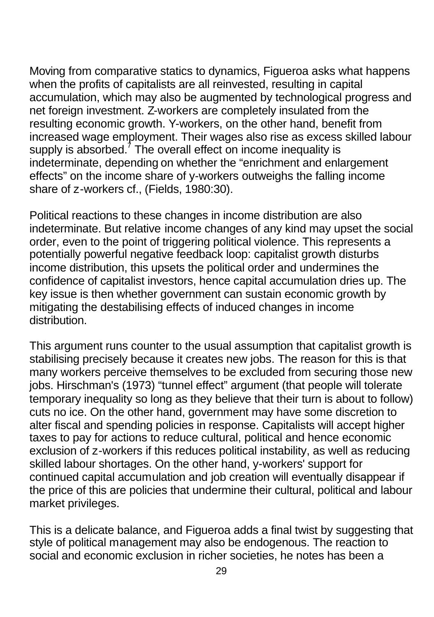Moving from comparative statics to dynamics, Figueroa asks what happens when the profits of capitalists are all reinvested, resulting in capital accumulation, which may also be augmented by technological progress and net foreign investment. Z-workers are completely insulated from the resulting economic growth. Y-workers, on the other hand, benefit from increased wage employment. Their wages also rise as excess skilled labour supply is absorbed.<sup>7</sup> The overall effect on income inequality is indeterminate, depending on whether the "enrichment and enlargement effects" on the income share of y-workers outweighs the falling income share of z-workers cf., (Fields, 1980:30).

Political reactions to these changes in income distribution are also indeterminate. But relative income changes of any kind may upset the social order, even to the point of triggering political violence. This represents a potentially powerful negative feedback loop: capitalist growth disturbs income distribution, this upsets the political order and undermines the confidence of capitalist investors, hence capital accumulation dries up. The key issue is then whether government can sustain economic growth by mitigating the destabilising effects of induced changes in income distribution.

This argument runs counter to the usual assumption that capitalist growth is stabilising precisely because it creates new jobs. The reason for this is that many workers perceive themselves to be excluded from securing those new jobs. Hirschman's (1973) "tunnel effect" argument (that people will tolerate temporary inequality so long as they believe that their turn is about to follow) cuts no ice. On the other hand, government may have some discretion to alter fiscal and spending policies in response. Capitalists will accept higher taxes to pay for actions to reduce cultural, political and hence economic exclusion of z-workers if this reduces political instability, as well as reducing skilled labour shortages. On the other hand, y-workers' support for continued capital accumulation and job creation will eventually disappear if the price of this are policies that undermine their cultural, political and labour market privileges.

This is a delicate balance, and Figueroa adds a final twist by suggesting that style of political management may also be endogenous. The reaction to social and economic exclusion in richer societies, he notes has been a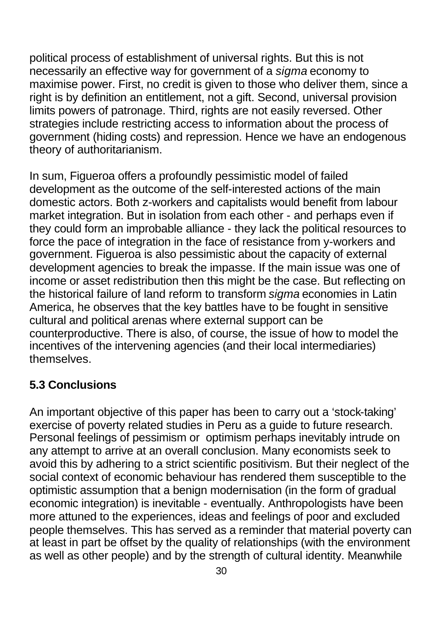political process of establishment of universal rights. But this is not necessarily an effective way for government of a *sigma* economy to maximise power. First, no credit is given to those who deliver them, since a right is by definition an entitlement, not a gift. Second, universal provision limits powers of patronage. Third, rights are not easily reversed. Other strategies include restricting access to information about the process of government (hiding costs) and repression. Hence we have an endogenous theory of authoritarianism.

In sum, Figueroa offers a profoundly pessimistic model of failed development as the outcome of the self-interested actions of the main domestic actors. Both z-workers and capitalists would benefit from labour market integration. But in isolation from each other - and perhaps even if they could form an improbable alliance - they lack the political resources to force the pace of integration in the face of resistance from y-workers and government. Figueroa is also pessimistic about the capacity of external development agencies to break the impasse. If the main issue was one of income or asset redistribution then this might be the case. But reflecting on the historical failure of land reform to transform *sigma* economies in Latin America, he observes that the key battles have to be fought in sensitive cultural and political arenas where external support can be counterproductive. There is also, of course, the issue of how to model the incentives of the intervening agencies (and their local intermediaries) themselves.

## **5.3 Conclusions**

An important objective of this paper has been to carry out a 'stock-taking' exercise of poverty related studies in Peru as a guide to future research. Personal feelings of pessimism or optimism perhaps inevitably intrude on any attempt to arrive at an overall conclusion. Many economists seek to avoid this by adhering to a strict scientific positivism. But their neglect of the social context of economic behaviour has rendered them susceptible to the optimistic assumption that a benign modernisation (in the form of gradual economic integration) is inevitable - eventually. Anthropologists have been more attuned to the experiences, ideas and feelings of poor and excluded people themselves. This has served as a reminder that material poverty can at least in part be offset by the quality of relationships (with the environment as well as other people) and by the strength of cultural identity. Meanwhile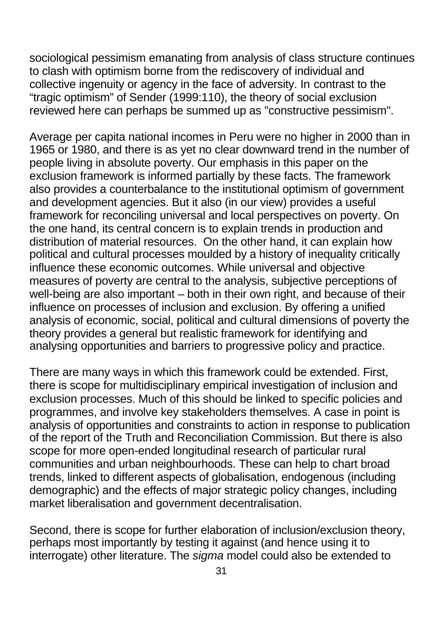sociological pessimism emanating from analysis of class structure continues to clash with optimism borne from the rediscovery of individual and collective ingenuity or agency in the face of adversity. In contrast to the "tragic optimism" of Sender (1999:110), the theory of social exclusion reviewed here can perhaps be summed up as "constructive pessimism".

Average per capita national incomes in Peru were no higher in 2000 than in 1965 or 1980, and there is as yet no clear downward trend in the number of people living in absolute poverty. Our emphasis in this paper on the exclusion framework is informed partially by these facts. The framework also provides a counterbalance to the institutional optimism of government and development agencies. But it also (in our view) provides a useful framework for reconciling universal and local perspectives on poverty. On the one hand, its central concern is to explain trends in production and distribution of material resources. On the other hand, it can explain how political and cultural processes moulded by a history of inequality critically influence these economic outcomes. While universal and objective measures of poverty are central to the analysis, subjective perceptions of well-being are also important – both in their own right, and because of their influence on processes of inclusion and exclusion. By offering a unified analysis of economic, social, political and cultural dimensions of poverty the theory provides a general but realistic framework for identifying and analysing opportunities and barriers to progressive policy and practice.

There are many ways in which this framework could be extended. First, there is scope for multidisciplinary empirical investigation of inclusion and exclusion processes. Much of this should be linked to specific policies and programmes, and involve key stakeholders themselves. A case in point is analysis of opportunities and constraints to action in response to publication of the report of the Truth and Reconciliation Commission. But there is also scope for more open-ended longitudinal research of particular rural communities and urban neighbourhoods. These can help to chart broad trends, linked to different aspects of globalisation, endogenous (including demographic) and the effects of major strategic policy changes, including market liberalisation and government decentralisation.

Second, there is scope for further elaboration of inclusion/exclusion theory, perhaps most importantly by testing it against (and hence using it to interrogate) other literature. The *sigma* model could also be extended to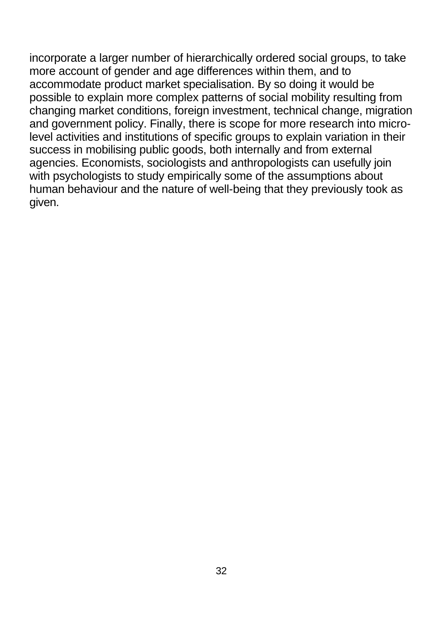incorporate a larger number of hierarchically ordered social groups, to take more account of gender and age differences within them, and to accommodate product market specialisation. By so doing it would be possible to explain more complex patterns of social mobility resulting from changing market conditions, foreign investment, technical change, migration and government policy. Finally, there is scope for more research into microlevel activities and institutions of specific groups to explain variation in their success in mobilising public goods, both internally and from external agencies. Economists, sociologists and anthropologists can usefully join with psychologists to study empirically some of the assumptions about human behaviour and the nature of well-being that they previously took as given.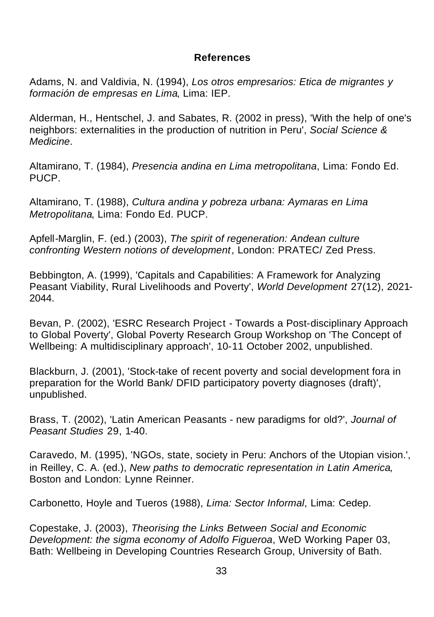#### **References**

Adams, N. and Valdivia, N. (1994), *Los otros empresarios: Etica de migrantes y formación de empresas en Lima*, Lima: IEP.

Alderman, H., Hentschel, J. and Sabates, R. (2002 in press), 'With the help of one's neighbors: externalities in the production of nutrition in Peru', *Social Science & Medicine*.

Altamirano, T. (1984), *Presencia andina en Lima metropolitana*, Lima: Fondo Ed. PUCP.

Altamirano, T. (1988), *Cultura andina y pobreza urbana: Aymaras en Lima Metropolitana*, Lima: Fondo Ed. PUCP.

Apfell-Marglin, F. (ed.) (2003), *The spirit of regeneration: Andean culture confronting Western notions of development*, London: PRATEC/ Zed Press.

Bebbington, A. (1999), 'Capitals and Capabilities: A Framework for Analyzing Peasant Viability, Rural Livelihoods and Poverty', *World Development* 27(12), 2021- 2044.

Bevan, P. (2002), 'ESRC Research Project - Towards a Post-disciplinary Approach to Global Poverty', Global Poverty Research Group Workshop on 'The Concept of Wellbeing: A multidisciplinary approach', 10-11 October 2002, unpublished.

Blackburn, J. (2001), 'Stock-take of recent poverty and social development fora in preparation for the World Bank/ DFID participatory poverty diagnoses (draft)', unpublished.

Brass, T. (2002), 'Latin American Peasants - new paradigms for old?', *Journal of Peasant Studies* 29, 1-40.

Caravedo, M. (1995), 'NGOs, state, society in Peru: Anchors of the Utopian vision.', in Reilley, C. A. (ed.), *New paths to democratic representation in Latin America*, Boston and London: Lynne Reinner.

Carbonetto, Hoyle and Tueros (1988), *Lima: Sector Informal*, Lima: Cedep.

Copestake, J. (2003), *Theorising the Links Between Social and Economic Development: the sigma economy of Adolfo Figueroa*, WeD Working Paper 03, Bath: Wellbeing in Developing Countries Research Group, University of Bath.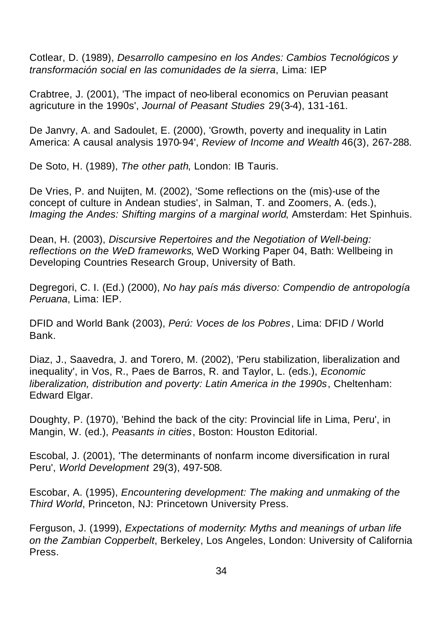Cotlear, D. (1989), *Desarrollo campesino en los Andes: Cambios Tecnológicos y transformación social en las comunidades de la sierra*, Lima: IEP

Crabtree, J. (2001), 'The impact of neo-liberal economics on Peruvian peasant agricuture in the 1990s', *Journal of Peasant Studies* 29(3-4), 131-161.

De Janvry, A. and Sadoulet, E. (2000), 'Growth, poverty and inequality in Latin America: A causal analysis 1970-94', *Review of Income and Wealth* 46(3), 267-288.

De Soto, H. (1989), *The other path*, London: IB Tauris.

De Vries, P. and Nuijten, M. (2002), 'Some reflections on the (mis)-use of the concept of culture in Andean studies', in Salman, T. and Zoomers, A. (eds.), *Imaging the Andes: Shifting margins of a marginal world*, Amsterdam: Het Spinhuis.

Dean, H. (2003), *Discursive Repertoires and the Negotiation of Well-being: reflections on the WeD frameworks*, WeD Working Paper 04, Bath: Wellbeing in Developing Countries Research Group, University of Bath.

Degregori, C. I. (Ed.) (2000), *No hay país más diverso: Compendio de antropología Peruana*, Lima: IEP.

DFID and World Bank (2003), *Perú: Voces de los Pobres*, Lima: DFID / World Bank.

Diaz, J., Saavedra, J. and Torero, M. (2002), 'Peru stabilization, liberalization and inequality', in Vos, R., Paes de Barros, R. and Taylor, L. (eds.), *Economic liberalization, distribution and poverty: Latin America in the 1990s*, Cheltenham: Edward Elgar.

Doughty, P. (1970), 'Behind the back of the city: Provincial life in Lima, Peru', in Mangin, W. (ed.), *Peasants in cities*, Boston: Houston Editorial.

Escobal, J. (2001), 'The determinants of nonfarm income diversification in rural Peru', *World Development* 29(3), 497-508.

Escobar, A. (1995), *Encountering development: The making and unmaking of the Third World*, Princeton, NJ: Princetown University Press.

Ferguson, J. (1999), *Expectations of modernity: Myths and meanings of urban life on the Zambian Copperbelt*, Berkeley, Los Angeles, London: University of California Press.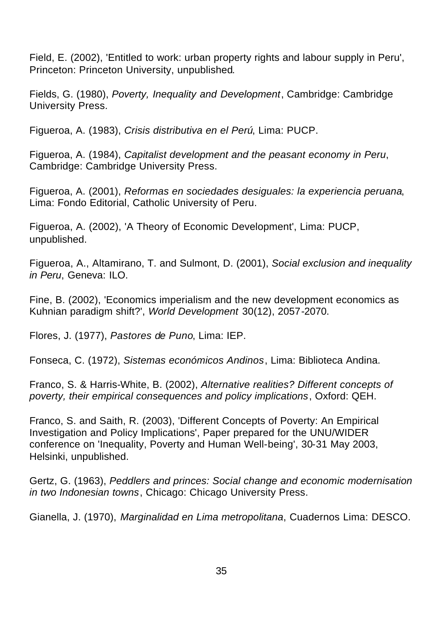Field, E. (2002), 'Entitled to work: urban property rights and labour supply in Peru', Princeton: Princeton University, unpublished.

Fields, G. (1980), *Poverty, Inequality and Development*, Cambridge: Cambridge University Press.

Figueroa, A. (1983), *Crisis distributiva en el Perú*, Lima: PUCP.

Figueroa, A. (1984), *Capitalist development and the peasant economy in Peru*, Cambridge: Cambridge University Press.

Figueroa, A. (2001), *Reformas en sociedades desiguales: la experiencia peruana*, Lima: Fondo Editorial, Catholic University of Peru.

Figueroa, A. (2002), 'A Theory of Economic Development', Lima: PUCP, unpublished.

Figueroa, A., Altamirano, T. and Sulmont, D. (2001), *Social exclusion and inequality in Peru*, Geneva: ILO.

Fine, B. (2002), 'Economics imperialism and the new development economics as Kuhnian paradigm shift?', *World Development* 30(12), 2057-2070.

Flores, J. (1977), *Pastores de Puno*, Lima: IEP.

Fonseca, C. (1972), *Sistemas económicos Andinos*, Lima: Biblioteca Andina.

Franco, S. & Harris-White, B. (2002), *Alternative realities? Different concepts of poverty, their empirical consequences and policy implications*, Oxford: QEH.

Franco, S. and Saith, R. (2003), 'Different Concepts of Poverty: An Empirical Investigation and Policy Implications', Paper prepared for the UNU/WIDER conference on 'Inequality, Poverty and Human Well-being', 30-31 May 2003, Helsinki, unpublished.

Gertz, G. (1963), *Peddlers and princes: Social change and economic modernisation in two Indonesian towns*, Chicago: Chicago University Press.

Gianella, J. (1970), *Marginalidad en Lima metropolitana*, Cuadernos Lima: DESCO.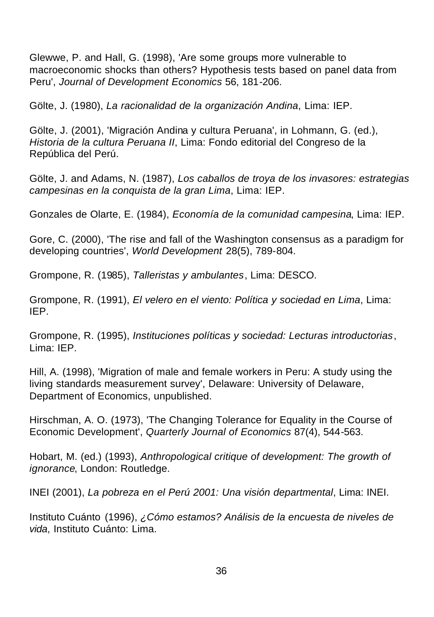Glewwe, P. and Hall, G. (1998), 'Are some groups more vulnerable to macroeconomic shocks than others? Hypothesis tests based on panel data from Peru', *Journal of Development Economics* 56, 181-206.

Gölte, J. (1980), *La racionalidad de la organización Andina*, Lima: IEP.

Gölte, J. (2001), 'Migración Andina y cultura Peruana', in Lohmann, G. (ed.), *Historia de la cultura Peruana II*, Lima: Fondo editorial del Congreso de la República del Perú.

Gölte, J. and Adams, N. (1987), *Los caballos de troya de los invasores: estrategias campesinas en la conquista de la gran Lima*, Lima: IEP.

Gonzales de Olarte, E. (1984), *Economía de la comunidad campesina*, Lima: IEP.

Gore, C. (2000), 'The rise and fall of the Washington consensus as a paradigm for developing countries', *World Development* 28(5), 789-804.

Grompone, R. (1985), *Talleristas y ambulantes*, Lima: DESCO.

Grompone, R. (1991), *El velero en el viento: Política y sociedad en Lima*, Lima: IEP.

Grompone, R. (1995), *Instituciones políticas y sociedad: Lecturas introductorias*, Lima: IEP.

Hill, A. (1998), 'Migration of male and female workers in Peru: A study using the living standards measurement survey', Delaware: University of Delaware, Department of Economics, unpublished.

Hirschman, A. O. (1973), 'The Changing Tolerance for Equality in the Course of Economic Development', *Quarterly Journal of Economics* 87(4), 544-563.

Hobart, M. (ed.) (1993), *Anthropological critique of development: The growth of ignorance*, London: Routledge.

INEI (2001), *La pobreza en el Perú 2001: Una visión departmental*, Lima: INEI.

Instituto Cuánto (1996), *¿Cómo estamos? Análisis de la encuesta de niveles de vida*, Instituto Cuánto: Lima.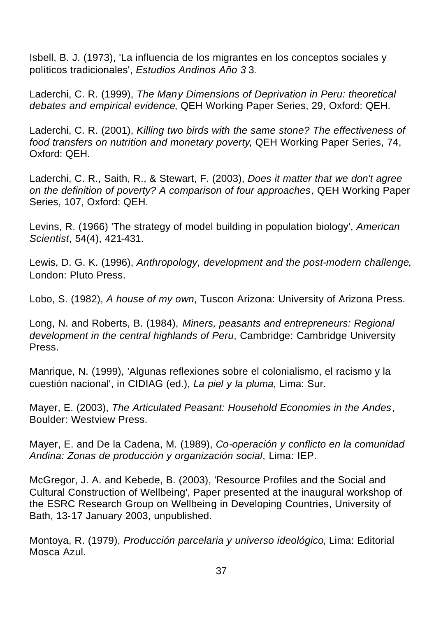Isbell, B. J. (1973), 'La influencia de los migrantes en los conceptos sociales y políticos tradicionales', *Estudios Andinos Año 3* 3.

Laderchi, C. R. (1999), *The Many Dimensions of Deprivation in Peru: theoretical debates and empirical evidence*, QEH Working Paper Series, 29, Oxford: QEH.

Laderchi, C. R. (2001), *Killing two birds with the same stone? The effectiveness of food transfers on nutrition and monetary poverty*, QEH Working Paper Series, 74, Oxford: QEH.

Laderchi, C. R., Saith, R., & Stewart, F. (2003), *Does it matter that we don't agree on the definition of poverty? A comparison of four approaches*, QEH Working Paper Series, 107, Oxford: QEH.

Levins, R. (1966) 'The strategy of model building in population biology', *American Scientist*, 54(4), 421-431.

Lewis, D. G. K. (1996), *Anthropology, development and the post-modern challenge*, London: Pluto Press.

Lobo, S. (1982), *A house of my own*, Tuscon Arizona: University of Arizona Press.

Long, N. and Roberts, B. (1984), *Miners, peasants and entrepreneurs: Regional development in the central highlands of Peru*, Cambridge: Cambridge University Press.

Manrique, N. (1999), 'Algunas reflexiones sobre el colonialismo, el racismo y la cuestión nacional', in CIDIAG (ed.), *La piel y la pluma*, Lima: Sur.

Mayer, E. (2003), *The Articulated Peasant: Household Economies in the Andes*, Boulder: Westview Press.

Mayer, E. and De la Cadena, M. (1989), *Co-operación y conflicto en la comunidad Andina: Zonas de producción y organización social*, Lima: IEP.

McGregor, J. A. and Kebede, B. (2003), 'Resource Profiles and the Social and Cultural Construction of Wellbeing', Paper presented at the inaugural workshop of the ESRC Research Group on Wellbeing in Developing Countries, University of Bath, 13-17 January 2003, unpublished.

Montoya, R. (1979), *Producción parcelaria y universo ideológico*, Lima: Editorial Mosca Azul.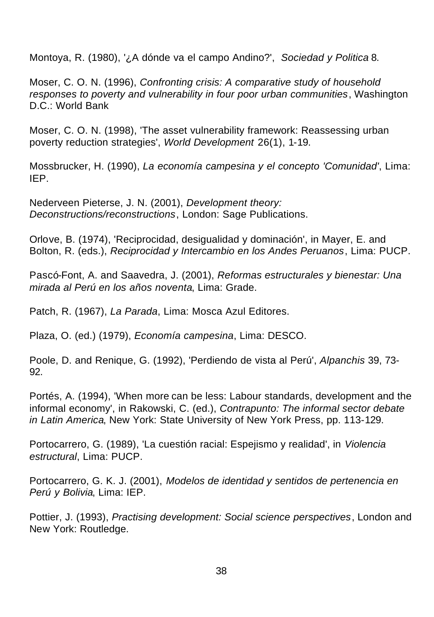Montoya, R. (1980), '¿A dónde va el campo Andino?', *Sociedad y Politica* 8.

Moser, C. O. N. (1996), *Confronting crisis: A comparative study of household responses to poverty and vulnerability in four poor urban communities*, Washington D.C.: World Bank

Moser, C. O. N. (1998), 'The asset vulnerability framework: Reassessing urban poverty reduction strategies', *World Development* 26(1), 1-19.

Mossbrucker, H. (1990), *La economía campesina y el concepto 'Comunidad'*, Lima: IEP.

Nederveen Pieterse, J. N. (2001), *Development theory: Deconstructions/reconstructions*, London: Sage Publications.

Orlove, B. (1974), 'Reciprocidad, desigualidad y dominación', in Mayer, E. and Bolton, R. (eds.), *Reciprocidad y Intercambio en los Andes Peruanos*, Lima: PUCP.

Pascó-Font, A. and Saavedra, J. (2001), *Reformas estructurales y bienestar: Una mirada al Perú en los años noventa*, Lima: Grade.

Patch, R. (1967), *La Parada*, Lima: Mosca Azul Editores.

Plaza, O. (ed.) (1979), *Economía campesina*, Lima: DESCO.

Poole, D. and Renique, G. (1992), 'Perdiendo de vista al Perú', *Alpanchis* 39, 73- 92.

Portés, A. (1994), 'When more can be less: Labour standards, development and the informal economy', in Rakowski, C. (ed.), *Contrapunto: The informal sector debate in Latin America*, New York: State University of New York Press, pp. 113-129.

Portocarrero, G. (1989), 'La cuestión racial: Espejismo y realidad', in *Violencia estructural*, Lima: PUCP.

Portocarrero, G. K. J. (2001), *Modelos de identidad y sentidos de pertenencia en Perú y Bolivia*, Lima: IEP.

Pottier, J. (1993), *Practising development: Social science perspectives*, London and New York: Routledge.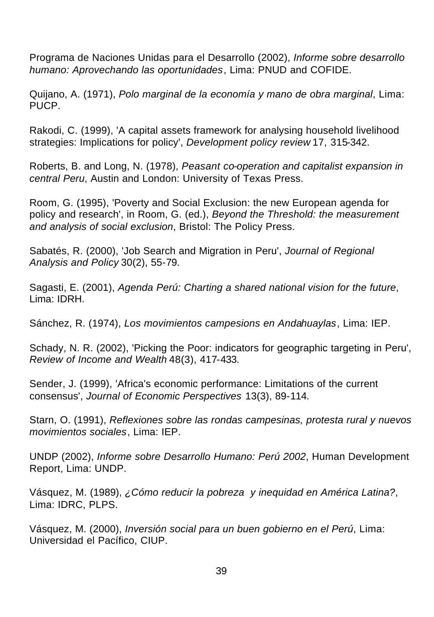Programa de Naciones Unidas para el Desarrollo (2002), *Informe sobre desarrollo humano: Aprovechando las oportunidades*, Lima: PNUD and COFIDE.

Quijano, A. (1971), *Polo marginal de la economía y mano de obra marginal*, Lima: PUCP.

Rakodi, C. (1999), 'A capital assets framework for analysing household livelihood strategies: Implications for policy', *Development policy review* 17, 315-342.

Roberts, B. and Long, N. (1978), *Peasant co-operation and capitalist expansion in central Peru*, Austin and London: University of Texas Press.

Room, G. (1995), 'Poverty and Social Exclusion: the new European agenda for policy and research', in Room, G. (ed.), *Beyond the Threshold: the measurement and analysis of social exclusion*, Bristol: The Policy Press.

Sabatés, R. (2000), 'Job Search and Migration in Peru', *Journal of Regional Analysis and Policy* 30(2), 55-79.

Sagasti, E. (2001), *Agenda Perú: Charting a shared national vision for the future*, Lima: IDRH.

Sánchez, R. (1974), *Los movimientos campesions en Andahuaylas*, Lima: IEP.

Schady, N. R. (2002), 'Picking the Poor: indicators for geographic targeting in Peru', *Review of Income and Wealth* 48(3), 417-433.

Sender, J. (1999), 'Africa's economic performance: Limitations of the current consensus', *Journal of Economic Perspectives* 13(3), 89-114.

Starn, O. (1991), *Reflexiones sobre las rondas campesinas, protesta rural y nuevos movimientos sociales*, Lima: IEP.

UNDP (2002), *Informe sobre Desarrollo Humano: Perú 2002*, Human Development Report, Lima: UNDP.

Vásquez, M. (1989), *¿Cómo reducir la pobreza y inequidad en América Latina?*, Lima: IDRC, PLPS.

Vásquez, M. (2000), *Inversión social para un buen gobierno en el Perú*, Lima: Universidad el Pacífico, CIUP.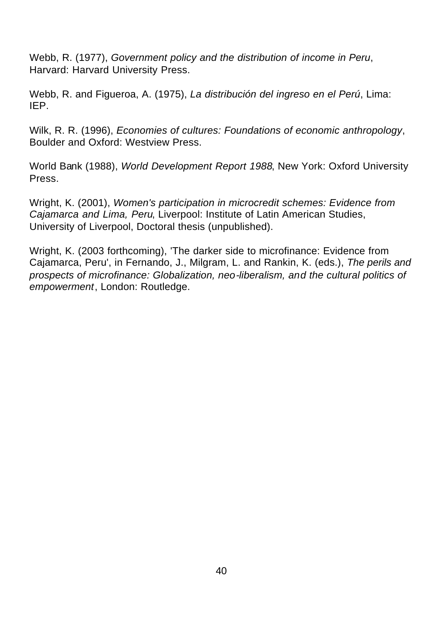Webb, R. (1977), *Government policy and the distribution of income in Peru*, Harvard: Harvard University Press.

Webb, R. and Figueroa, A. (1975), *La distribución del ingreso en el Perú*, Lima: IEP.

Wilk, R. R. (1996), *Economies of cultures: Foundations of economic anthropology*, Boulder and Oxford: Westview Press.

World Bank (1988), *World Development Report 1988*, New York: Oxford University Press.

Wright, K. (2001), *Women's participation in microcredit schemes: Evidence from Cajamarca and Lima, Peru*, Liverpool: Institute of Latin American Studies, University of Liverpool, Doctoral thesis (unpublished).

Wright, K. (2003 forthcoming), 'The darker side to microfinance: Evidence from Cajamarca, Peru', in Fernando, J., Milgram, L. and Rankin, K. (eds.), *The perils and prospects of microfinance: Globalization, neo-liberalism, and the cultural politics of empowerment*, London: Routledge.